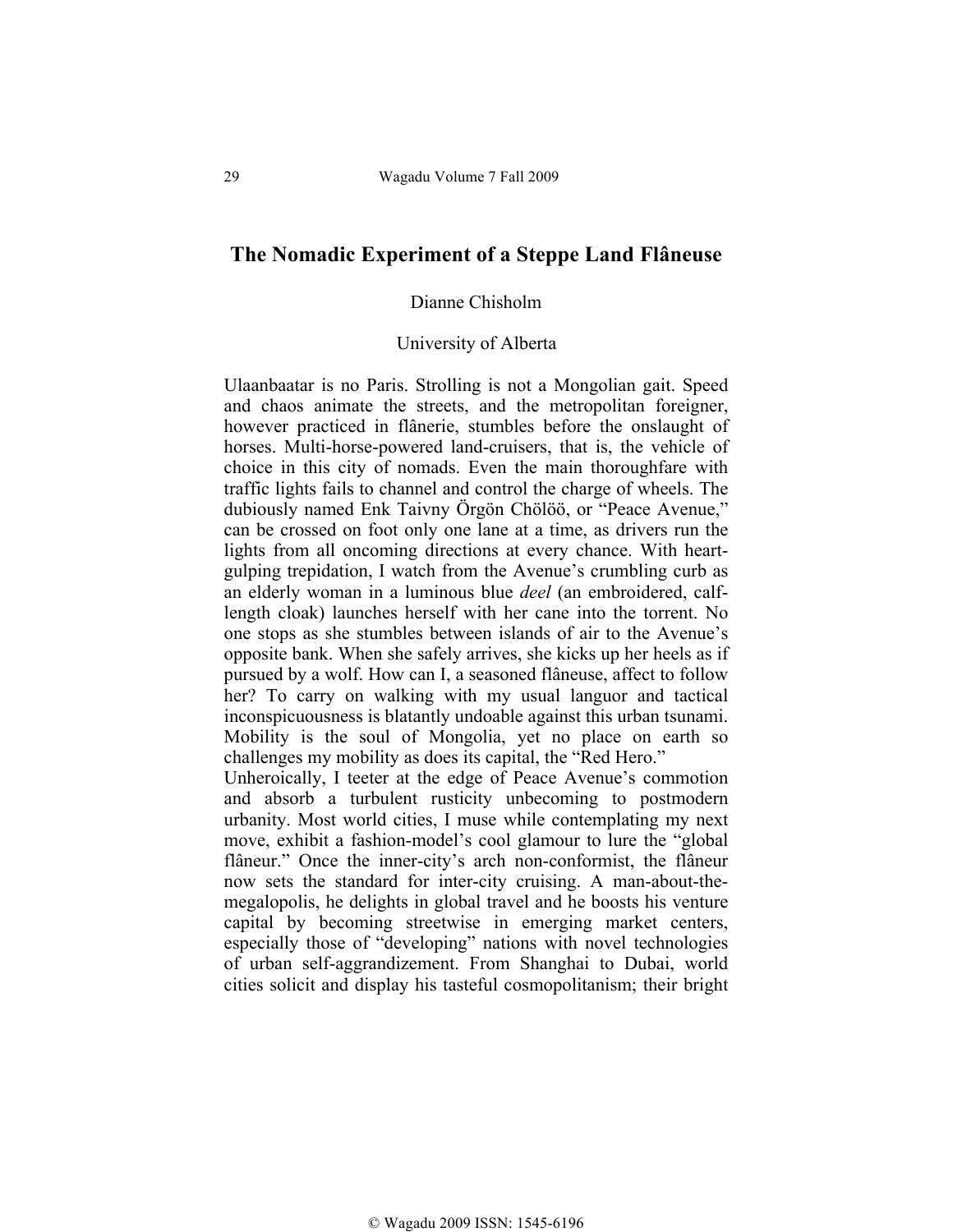## **The Nomadic Experiment of a Steppe Land Flâneuse**

## Dianne Chisholm

## University of Alberta

Ulaanbaatar is no Paris. Strolling is not a Mongolian gait. Speed and chaos animate the streets, and the metropolitan foreigner, however practiced in flânerie, stumbles before the onslaught of horses. Multi-horse-powered land-cruisers, that is, the vehicle of choice in this city of nomads. Even the main thoroughfare with traffic lights fails to channel and control the charge of wheels. The dubiously named Enk Taivny Örgön Chölöö, or "Peace Avenue," can be crossed on foot only one lane at a time, as drivers run the lights from all oncoming directions at every chance. With heartgulping trepidation, I watch from the Avenue's crumbling curb as an elderly woman in a luminous blue *deel* (an embroidered, calflength cloak) launches herself with her cane into the torrent. No one stops as she stumbles between islands of air to the Avenue's opposite bank. When she safely arrives, she kicks up her heels as if pursued by a wolf. How can I, a seasoned flâneuse, affect to follow her? To carry on walking with my usual languor and tactical inconspicuousness is blatantly undoable against this urban tsunami. Mobility is the soul of Mongolia, yet no place on earth so challenges my mobility as does its capital, the "Red Hero."

Unheroically, I teeter at the edge of Peace Avenue's commotion and absorb a turbulent rusticity unbecoming to postmodern urbanity. Most world cities, I muse while contemplating my next move, exhibit a fashion-model's cool glamour to lure the "global flâneur." Once the inner-city's arch non-conformist, the flâneur now sets the standard for inter-city cruising. A man-about-themegalopolis, he delights in global travel and he boosts his venture capital by becoming streetwise in emerging market centers, especially those of "developing" nations with novel technologies of urban self-aggrandizement. From Shanghai to Dubai, world cities solicit and display his tasteful cosmopolitanism; their bright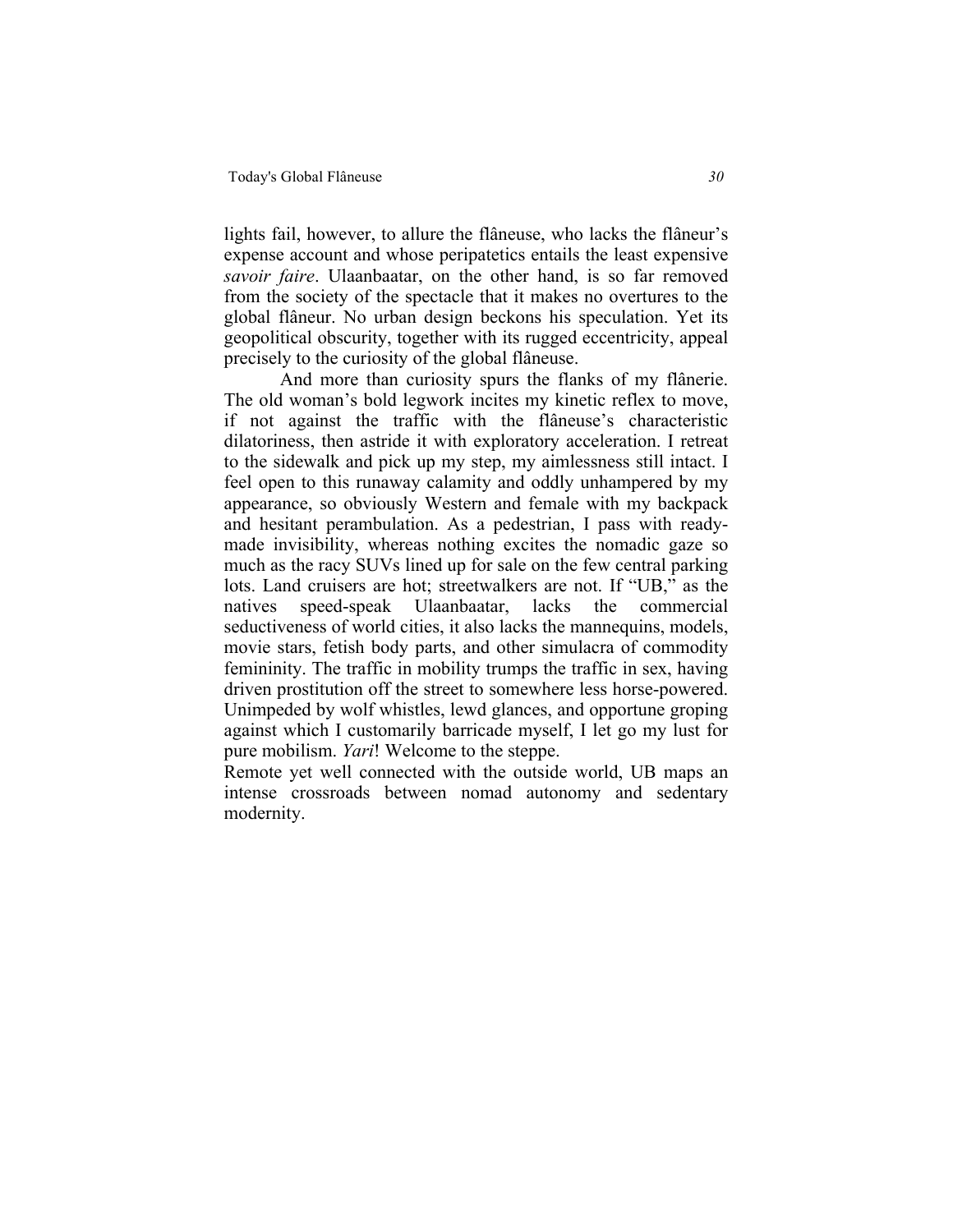lights fail, however, to allure the flâneuse, who lacks the flâneur's expense account and whose peripatetics entails the least expensive *savoir faire*. Ulaanbaatar, on the other hand, is so far removed from the society of the spectacle that it makes no overtures to the global flâneur. No urban design beckons his speculation. Yet its geopolitical obscurity, together with its rugged eccentricity, appeal precisely to the curiosity of the global flâneuse.

And more than curiosity spurs the flanks of my flânerie. The old woman's bold legwork incites my kinetic reflex to move, if not against the traffic with the flâneuse's characteristic dilatoriness, then astride it with exploratory acceleration. I retreat to the sidewalk and pick up my step, my aimlessness still intact. I feel open to this runaway calamity and oddly unhampered by my appearance, so obviously Western and female with my backpack and hesitant perambulation. As a pedestrian, I pass with readymade invisibility, whereas nothing excites the nomadic gaze so much as the racy SUVs lined up for sale on the few central parking lots. Land cruisers are hot; streetwalkers are not. If "UB," as the natives speed-speak Ulaanbaatar, lacks the commercial seductiveness of world cities, it also lacks the mannequins, models, movie stars, fetish body parts, and other simulacra of commodity femininity. The traffic in mobility trumps the traffic in sex, having driven prostitution off the street to somewhere less horse-powered. Unimpeded by wolf whistles, lewd glances, and opportune groping against which I customarily barricade myself, I let go my lust for pure mobilism. *Yari*! Welcome to the steppe.

Remote yet well connected with the outside world, UB maps an intense crossroads between nomad autonomy and sedentary modernity.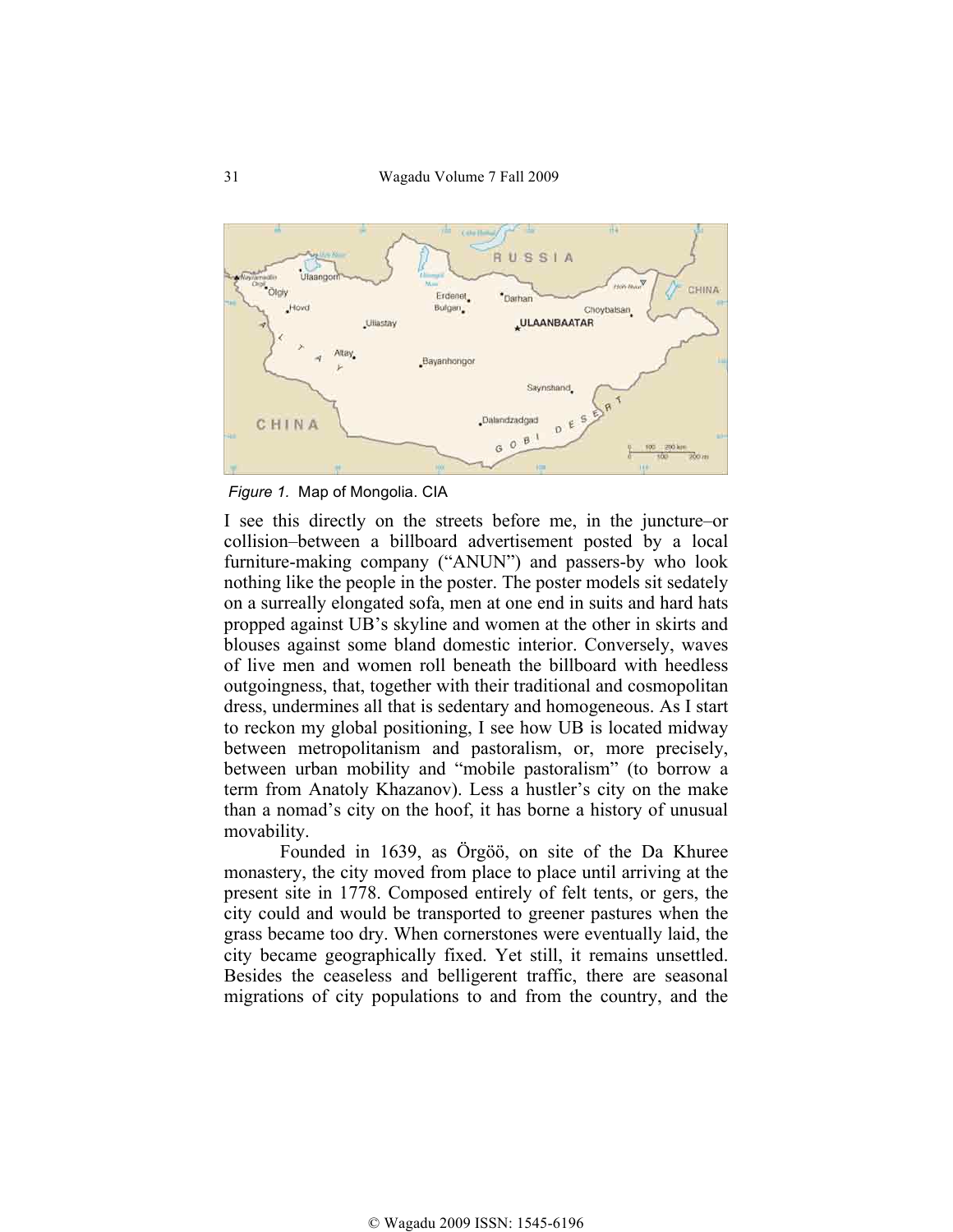

*Figure 1.* Map of Mongolia. CIA

I see this directly on the streets before me, in the juncture–or collision–between a billboard advertisement posted by a local furniture-making company ("ANUN") and passers-by who look nothing like the people in the poster. The poster models sit sedately on a surreally elongated sofa, men at one end in suits and hard hats propped against UB's skyline and women at the other in skirts and blouses against some bland domestic interior. Conversely, waves of live men and women roll beneath the billboard with heedless outgoingness, that, together with their traditional and cosmopolitan dress, undermines all that is sedentary and homogeneous. As I start to reckon my global positioning, I see how UB is located midway between metropolitanism and pastoralism, or, more precisely, between urban mobility and "mobile pastoralism" (to borrow a term from Anatoly Khazanov). Less a hustler's city on the make than a nomad's city on the hoof, it has borne a history of unusual movability.

Founded in 1639, as Örgöö, on site of the Da Khuree monastery, the city moved from place to place until arriving at the present site in 1778. Composed entirely of felt tents, or gers, the city could and would be transported to greener pastures when the grass became too dry. When cornerstones were eventually laid, the city became geographically fixed. Yet still, it remains unsettled. Besides the ceaseless and belligerent traffic, there are seasonal migrations of city populations to and from the country, and the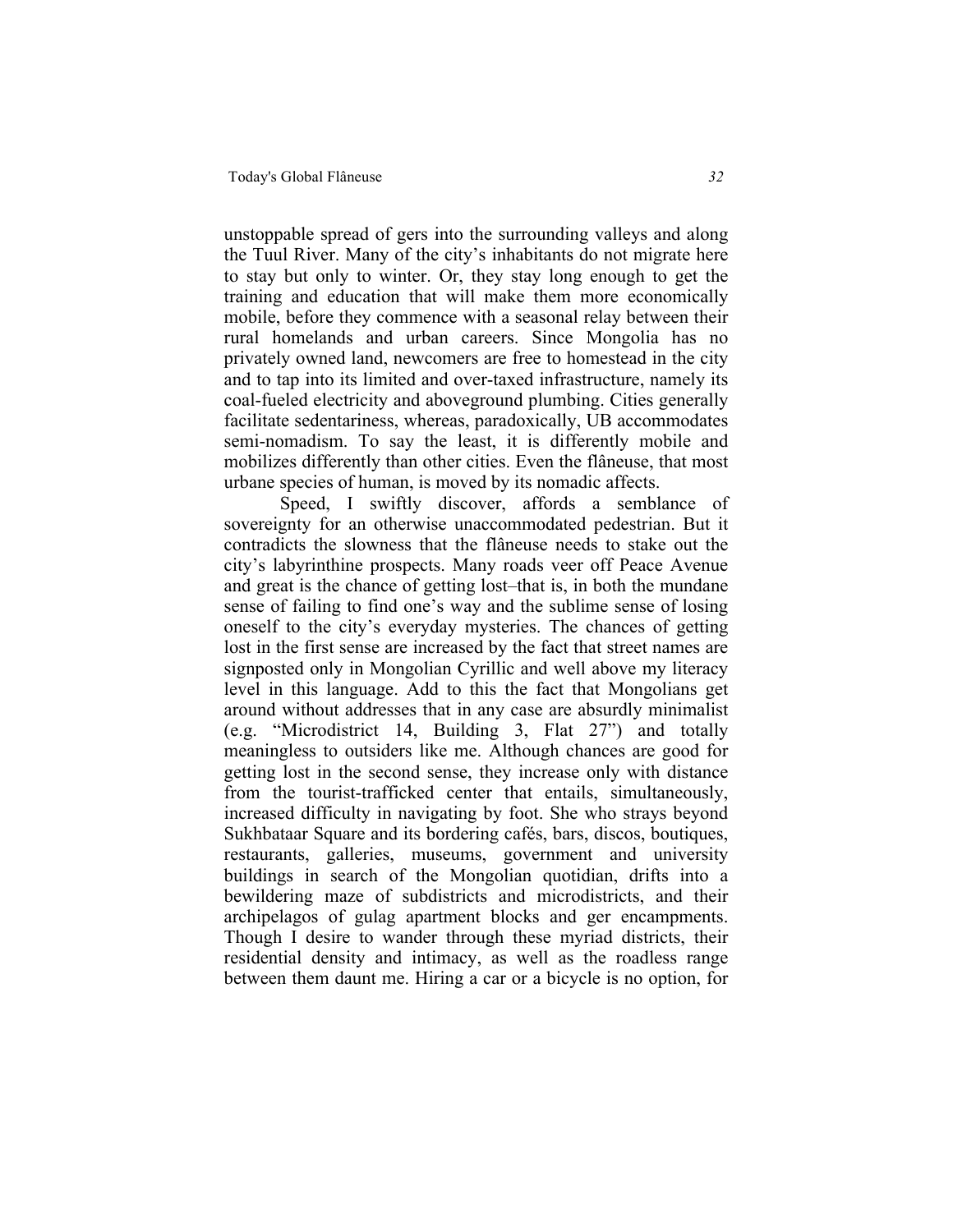unstoppable spread of gers into the surrounding valleys and along the Tuul River. Many of the city's inhabitants do not migrate here to stay but only to winter. Or, they stay long enough to get the training and education that will make them more economically mobile, before they commence with a seasonal relay between their rural homelands and urban careers. Since Mongolia has no privately owned land, newcomers are free to homestead in the city and to tap into its limited and over-taxed infrastructure, namely its coal-fueled electricity and aboveground plumbing. Cities generally facilitate sedentariness, whereas, paradoxically, UB accommodates semi-nomadism. To say the least, it is differently mobile and mobilizes differently than other cities. Even the flâneuse, that most urbane species of human, is moved by its nomadic affects.

Speed, I swiftly discover, affords a semblance of sovereignty for an otherwise unaccommodated pedestrian. But it contradicts the slowness that the flâneuse needs to stake out the city's labyrinthine prospects. Many roads veer off Peace Avenue and great is the chance of getting lost–that is, in both the mundane sense of failing to find one's way and the sublime sense of losing oneself to the city's everyday mysteries. The chances of getting lost in the first sense are increased by the fact that street names are signposted only in Mongolian Cyrillic and well above my literacy level in this language. Add to this the fact that Mongolians get around without addresses that in any case are absurdly minimalist (e.g. "Microdistrict 14, Building 3, Flat 27") and totally meaningless to outsiders like me. Although chances are good for getting lost in the second sense, they increase only with distance from the tourist-trafficked center that entails, simultaneously, increased difficulty in navigating by foot. She who strays beyond Sukhbataar Square and its bordering cafés, bars, discos, boutiques, restaurants, galleries, museums, government and university buildings in search of the Mongolian quotidian, drifts into a bewildering maze of subdistricts and microdistricts, and their archipelagos of gulag apartment blocks and ger encampments. Though I desire to wander through these myriad districts, their residential density and intimacy, as well as the roadless range between them daunt me. Hiring a car or a bicycle is no option, for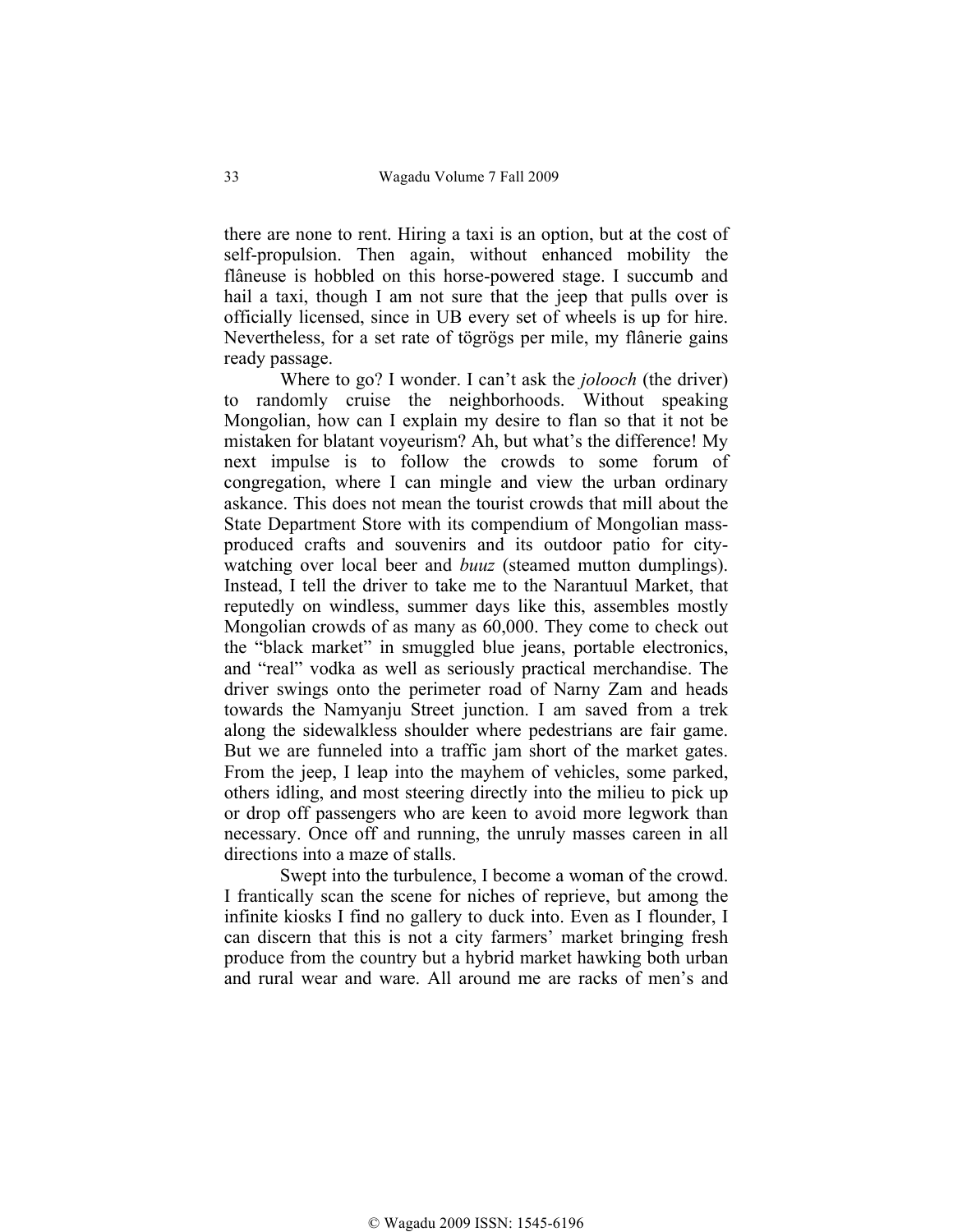there are none to rent. Hiring a taxi is an option, but at the cost of self-propulsion. Then again, without enhanced mobility the flâneuse is hobbled on this horse-powered stage. I succumb and hail a taxi, though I am not sure that the jeep that pulls over is officially licensed, since in UB every set of wheels is up for hire. Nevertheless, for a set rate of tögrögs per mile, my flânerie gains ready passage.

Where to go? I wonder. I can't ask the *jolooch* (the driver) to randomly cruise the neighborhoods. Without speaking Mongolian, how can I explain my desire to flan so that it not be mistaken for blatant voyeurism? Ah, but what's the difference! My next impulse is to follow the crowds to some forum of congregation, where I can mingle and view the urban ordinary askance. This does not mean the tourist crowds that mill about the State Department Store with its compendium of Mongolian massproduced crafts and souvenirs and its outdoor patio for citywatching over local beer and *buuz* (steamed mutton dumplings). Instead, I tell the driver to take me to the Narantuul Market, that reputedly on windless, summer days like this, assembles mostly Mongolian crowds of as many as 60,000. They come to check out the "black market" in smuggled blue jeans, portable electronics, and "real" vodka as well as seriously practical merchandise. The driver swings onto the perimeter road of Narny Zam and heads towards the Namyanju Street junction. I am saved from a trek along the sidewalkless shoulder where pedestrians are fair game. But we are funneled into a traffic jam short of the market gates. From the jeep, I leap into the mayhem of vehicles, some parked, others idling, and most steering directly into the milieu to pick up or drop off passengers who are keen to avoid more legwork than necessary. Once off and running, the unruly masses careen in all directions into a maze of stalls.

Swept into the turbulence, I become a woman of the crowd. I frantically scan the scene for niches of reprieve, but among the infinite kiosks I find no gallery to duck into. Even as I flounder, I can discern that this is not a city farmers' market bringing fresh produce from the country but a hybrid market hawking both urban and rural wear and ware. All around me are racks of men's and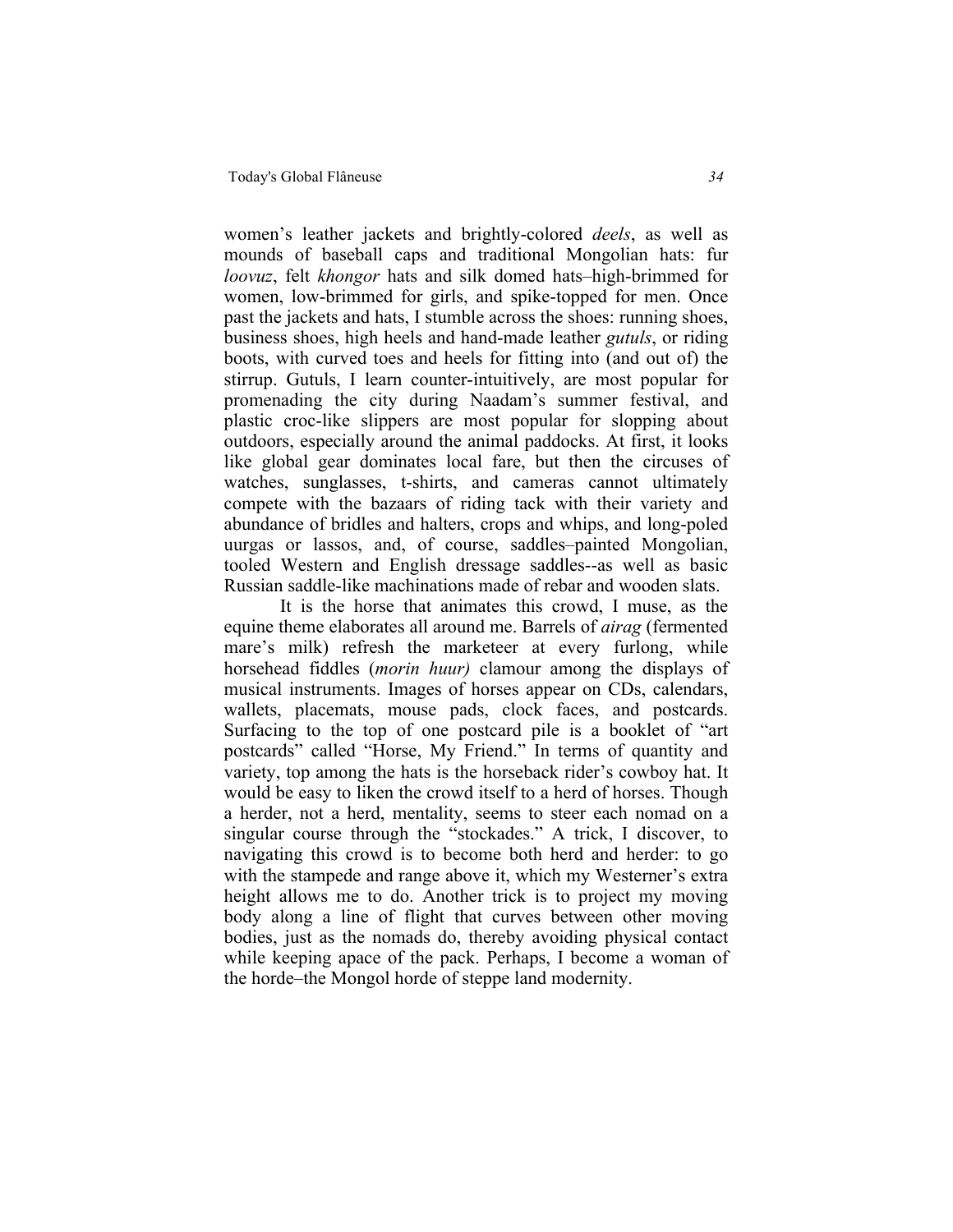women's leather jackets and brightly-colored *deels*, as well as mounds of baseball caps and traditional Mongolian hats: fur *loovuz*, felt *khongor* hats and silk domed hats–high-brimmed for women, low-brimmed for girls, and spike-topped for men. Once past the jackets and hats, I stumble across the shoes: running shoes, business shoes, high heels and hand-made leather *gutuls*, or riding boots, with curved toes and heels for fitting into (and out of) the stirrup. Gutuls, I learn counter-intuitively, are most popular for promenading the city during Naadam's summer festival, and plastic croc-like slippers are most popular for slopping about outdoors, especially around the animal paddocks. At first, it looks like global gear dominates local fare, but then the circuses of watches, sunglasses, t-shirts, and cameras cannot ultimately compete with the bazaars of riding tack with their variety and abundance of bridles and halters, crops and whips, and long-poled uurgas or lassos, and, of course, saddles–painted Mongolian, tooled Western and English dressage saddles--as well as basic Russian saddle-like machinations made of rebar and wooden slats.

 It is the horse that animates this crowd, I muse, as the equine theme elaborates all around me. Barrels of *airag* (fermented mare's milk) refresh the marketeer at every furlong, while horsehead fiddles (*morin huur)* clamour among the displays of musical instruments. Images of horses appear on CDs, calendars, wallets, placemats, mouse pads, clock faces, and postcards. Surfacing to the top of one postcard pile is a booklet of "art postcards" called "Horse, My Friend." In terms of quantity and variety, top among the hats is the horseback rider's cowboy hat. It would be easy to liken the crowd itself to a herd of horses. Though a herder, not a herd, mentality, seems to steer each nomad on a singular course through the "stockades." A trick, I discover, to navigating this crowd is to become both herd and herder: to go with the stampede and range above it, which my Westerner's extra height allows me to do. Another trick is to project my moving body along a line of flight that curves between other moving bodies, just as the nomads do, thereby avoiding physical contact while keeping apace of the pack. Perhaps, I become a woman of the horde–the Mongol horde of steppe land modernity.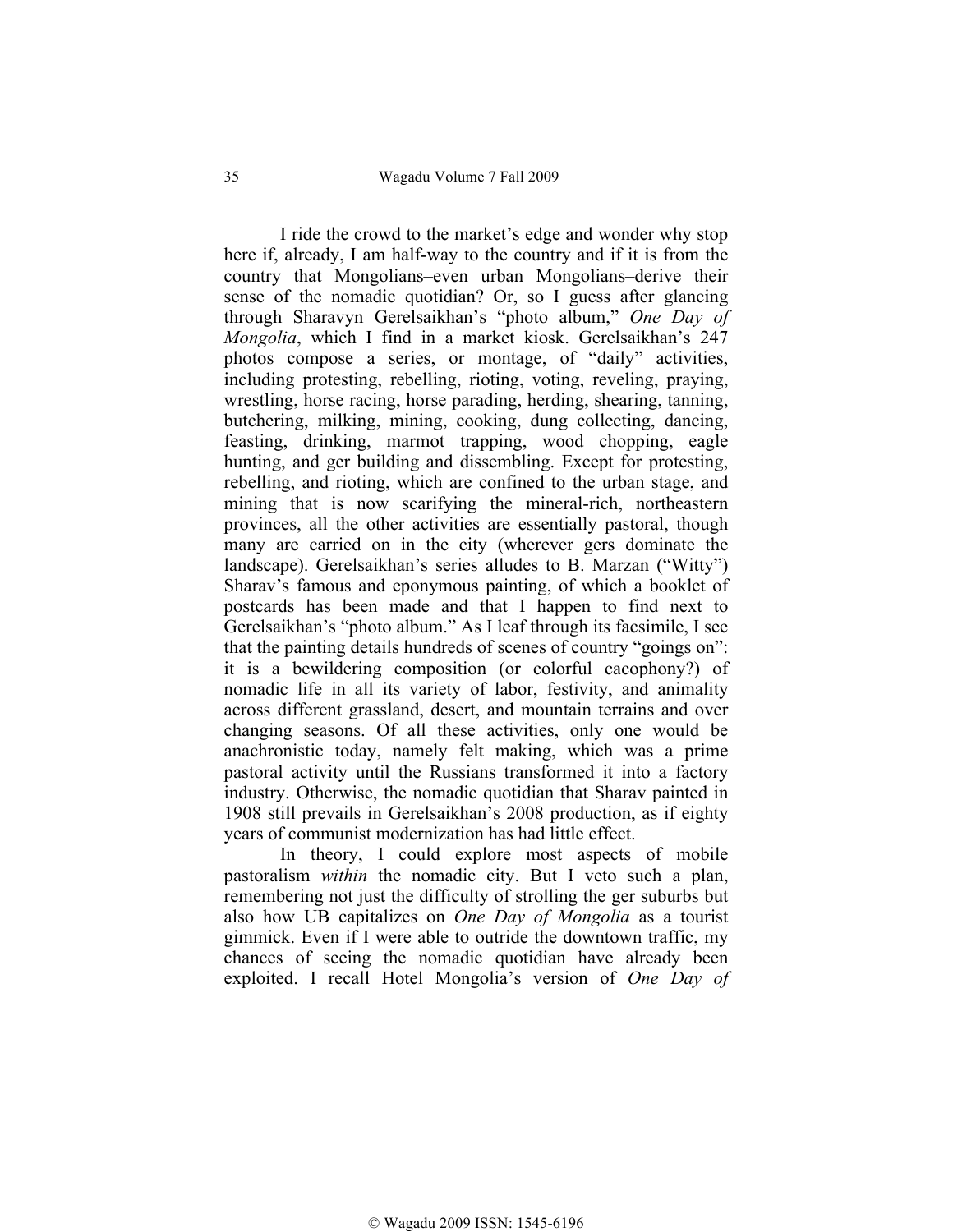35 Wagadu Volume 7 Fall 2009

I ride the crowd to the market's edge and wonder why stop here if, already, I am half-way to the country and if it is from the country that Mongolians–even urban Mongolians–derive their sense of the nomadic quotidian? Or, so I guess after glancing through Sharavyn Gerelsaikhan's "photo album," *One Day of Mongolia*, which I find in a market kiosk. Gerelsaikhan's 247 photos compose a series, or montage, of "daily" activities, including protesting, rebelling, rioting, voting, reveling, praying, wrestling, horse racing, horse parading, herding, shearing, tanning, butchering, milking, mining, cooking, dung collecting, dancing, feasting, drinking, marmot trapping, wood chopping, eagle hunting, and ger building and dissembling. Except for protesting, rebelling, and rioting, which are confined to the urban stage, and mining that is now scarifying the mineral-rich, northeastern provinces, all the other activities are essentially pastoral, though many are carried on in the city (wherever gers dominate the landscape). Gerelsaikhan's series alludes to B. Marzan ("Witty") Sharav's famous and eponymous painting, of which a booklet of postcards has been made and that I happen to find next to Gerelsaikhan's "photo album." As I leaf through its facsimile, I see that the painting details hundreds of scenes of country "goings on": it is a bewildering composition (or colorful cacophony?) of nomadic life in all its variety of labor, festivity, and animality across different grassland, desert, and mountain terrains and over changing seasons. Of all these activities, only one would be anachronistic today, namely felt making, which was a prime pastoral activity until the Russians transformed it into a factory industry. Otherwise, the nomadic quotidian that Sharav painted in 1908 still prevails in Gerelsaikhan's 2008 production, as if eighty years of communist modernization has had little effect.

In theory, I could explore most aspects of mobile pastoralism *within* the nomadic city. But I veto such a plan, remembering not just the difficulty of strolling the ger suburbs but also how UB capitalizes on *One Day of Mongolia* as a tourist gimmick. Even if I were able to outride the downtown traffic, my chances of seeing the nomadic quotidian have already been exploited. I recall Hotel Mongolia's version of *One Day of*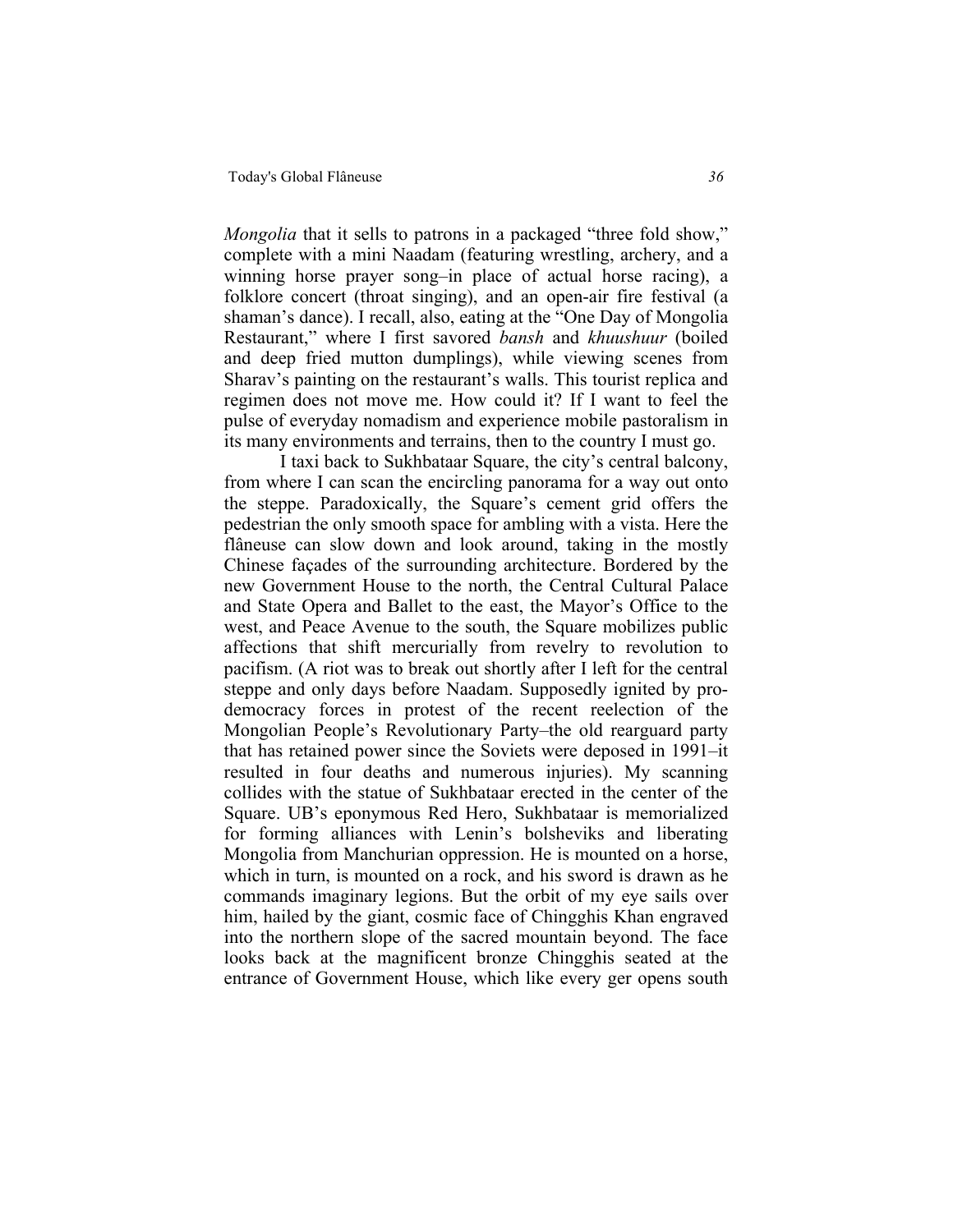*Mongolia* that it sells to patrons in a packaged "three fold show," complete with a mini Naadam (featuring wrestling, archery, and a winning horse prayer song–in place of actual horse racing), a folklore concert (throat singing), and an open-air fire festival (a shaman's dance). I recall, also, eating at the "One Day of Mongolia Restaurant," where I first savored *bansh* and *khuushuur* (boiled and deep fried mutton dumplings), while viewing scenes from Sharav's painting on the restaurant's walls. This tourist replica and regimen does not move me. How could it? If I want to feel the pulse of everyday nomadism and experience mobile pastoralism in its many environments and terrains, then to the country I must go.

I taxi back to Sukhbataar Square, the city's central balcony, from where I can scan the encircling panorama for a way out onto the steppe. Paradoxically, the Square's cement grid offers the pedestrian the only smooth space for ambling with a vista. Here the flâneuse can slow down and look around, taking in the mostly Chinese façades of the surrounding architecture. Bordered by the new Government House to the north, the Central Cultural Palace and State Opera and Ballet to the east, the Mayor's Office to the west, and Peace Avenue to the south, the Square mobilizes public affections that shift mercurially from revelry to revolution to pacifism. (A riot was to break out shortly after I left for the central steppe and only days before Naadam. Supposedly ignited by prodemocracy forces in protest of the recent reelection of the Mongolian People's Revolutionary Party–the old rearguard party that has retained power since the Soviets were deposed in 1991–it resulted in four deaths and numerous injuries). My scanning collides with the statue of Sukhbataar erected in the center of the Square. UB's eponymous Red Hero, Sukhbataar is memorialized for forming alliances with Lenin's bolsheviks and liberating Mongolia from Manchurian oppression. He is mounted on a horse, which in turn, is mounted on a rock, and his sword is drawn as he commands imaginary legions. But the orbit of my eye sails over him, hailed by the giant, cosmic face of Chingghis Khan engraved into the northern slope of the sacred mountain beyond. The face looks back at the magnificent bronze Chingghis seated at the entrance of Government House, which like every ger opens south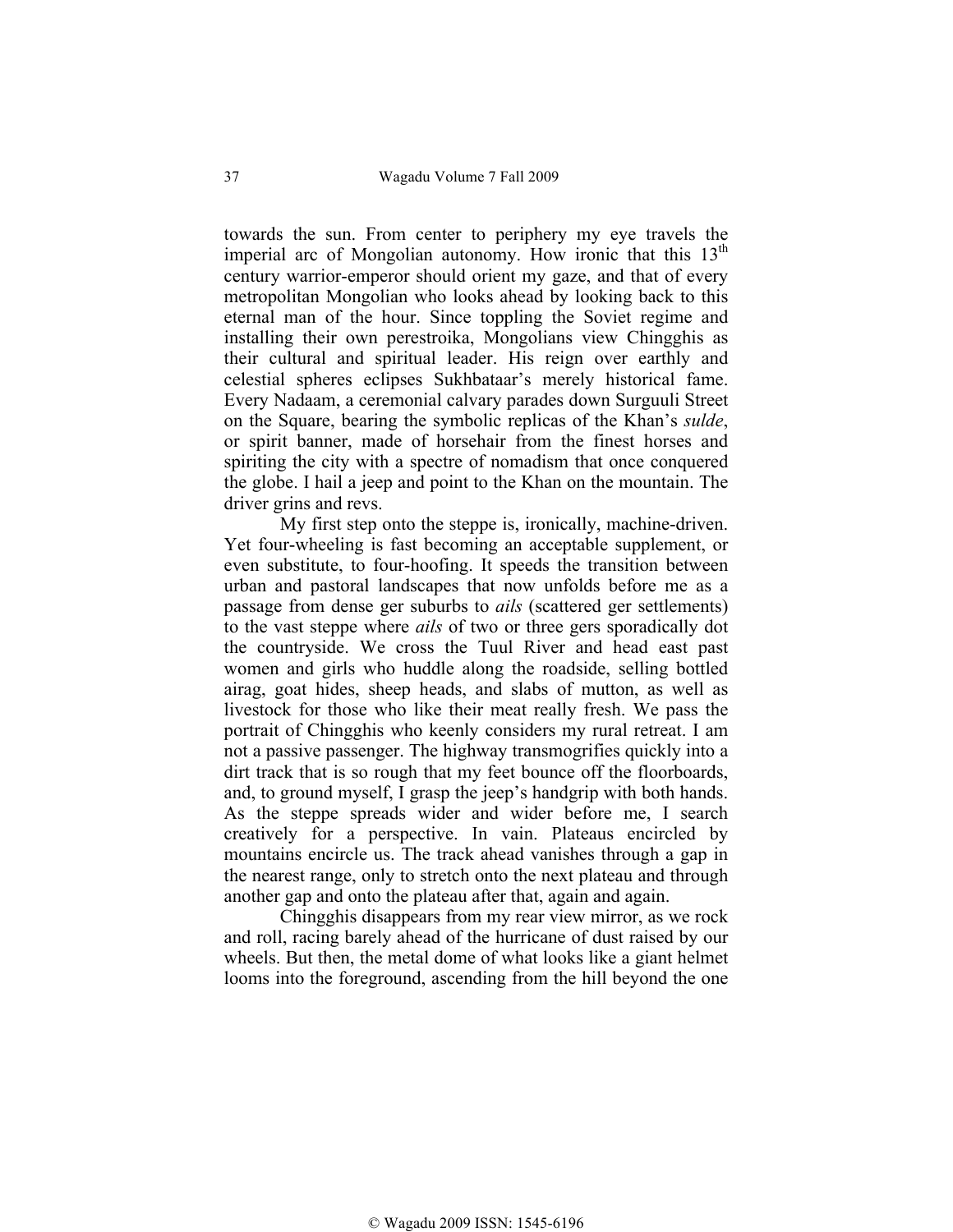towards the sun. From center to periphery my eye travels the imperial arc of Mongolian autonomy. How ironic that this  $13<sup>th</sup>$ century warrior-emperor should orient my gaze, and that of every metropolitan Mongolian who looks ahead by looking back to this eternal man of the hour. Since toppling the Soviet regime and installing their own perestroika, Mongolians view Chingghis as their cultural and spiritual leader. His reign over earthly and celestial spheres eclipses Sukhbataar's merely historical fame. Every Nadaam, a ceremonial calvary parades down Surguuli Street on the Square, bearing the symbolic replicas of the Khan's *sulde*, or spirit banner, made of horsehair from the finest horses and spiriting the city with a spectre of nomadism that once conquered the globe. I hail a jeep and point to the Khan on the mountain. The driver grins and revs.

My first step onto the steppe is, ironically, machine-driven. Yet four-wheeling is fast becoming an acceptable supplement, or even substitute, to four-hoofing. It speeds the transition between urban and pastoral landscapes that now unfolds before me as a passage from dense ger suburbs to *ails* (scattered ger settlements) to the vast steppe where *ails* of two or three gers sporadically dot the countryside. We cross the Tuul River and head east past women and girls who huddle along the roadside, selling bottled airag, goat hides, sheep heads, and slabs of mutton, as well as livestock for those who like their meat really fresh. We pass the portrait of Chingghis who keenly considers my rural retreat. I am not a passive passenger. The highway transmogrifies quickly into a dirt track that is so rough that my feet bounce off the floorboards, and, to ground myself, I grasp the jeep's handgrip with both hands. As the steppe spreads wider and wider before me, I search creatively for a perspective. In vain. Plateaus encircled by mountains encircle us. The track ahead vanishes through a gap in the nearest range, only to stretch onto the next plateau and through another gap and onto the plateau after that, again and again.

Chingghis disappears from my rear view mirror, as we rock and roll, racing barely ahead of the hurricane of dust raised by our wheels. But then, the metal dome of what looks like a giant helmet looms into the foreground, ascending from the hill beyond the one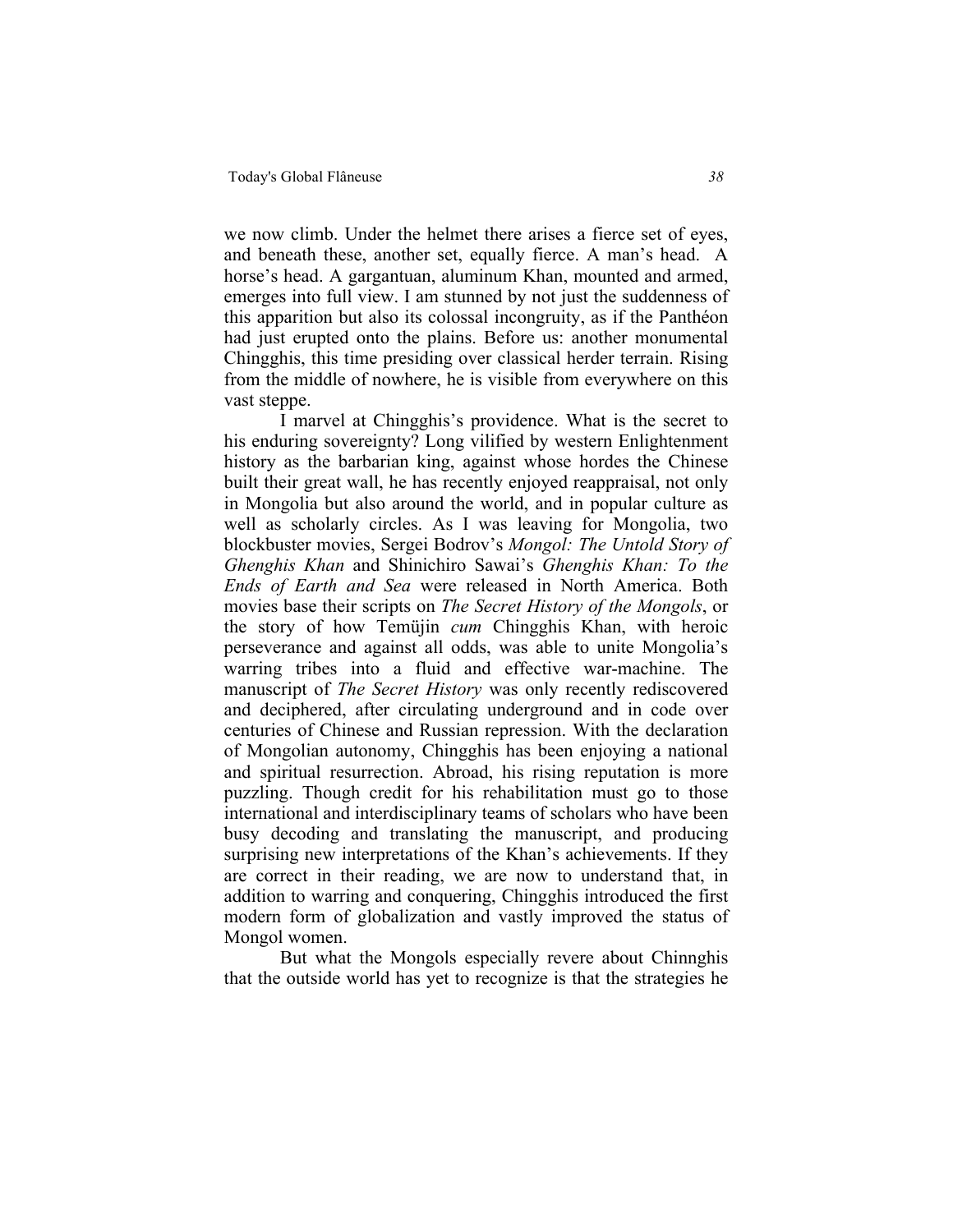we now climb. Under the helmet there arises a fierce set of eyes, and beneath these, another set, equally fierce. A man's head. A horse's head. A gargantuan, aluminum Khan, mounted and armed, emerges into full view. I am stunned by not just the suddenness of this apparition but also its colossal incongruity, as if the Panthéon had just erupted onto the plains. Before us: another monumental Chingghis, this time presiding over classical herder terrain. Rising from the middle of nowhere, he is visible from everywhere on this vast steppe.

I marvel at Chingghis's providence. What is the secret to his enduring sovereignty? Long vilified by western Enlightenment history as the barbarian king, against whose hordes the Chinese built their great wall, he has recently enjoyed reappraisal, not only in Mongolia but also around the world, and in popular culture as well as scholarly circles. As I was leaving for Mongolia, two blockbuster movies, Sergei Bodrov's *Mongol: The Untold Story of Ghenghis Khan* and Shinichiro Sawai's *Ghenghis Khan: To the Ends of Earth and Sea* were released in North America. Both movies base their scripts on *The Secret History of the Mongols*, or the story of how Temüjin *cum* Chingghis Khan, with heroic perseverance and against all odds, was able to unite Mongolia's warring tribes into a fluid and effective war-machine. The manuscript of *The Secret History* was only recently rediscovered and deciphered, after circulating underground and in code over centuries of Chinese and Russian repression. With the declaration of Mongolian autonomy, Chingghis has been enjoying a national and spiritual resurrection. Abroad, his rising reputation is more puzzling. Though credit for his rehabilitation must go to those international and interdisciplinary teams of scholars who have been busy decoding and translating the manuscript, and producing surprising new interpretations of the Khan's achievements. If they are correct in their reading, we are now to understand that, in addition to warring and conquering, Chingghis introduced the first modern form of globalization and vastly improved the status of Mongol women.

But what the Mongols especially revere about Chinnghis that the outside world has yet to recognize is that the strategies he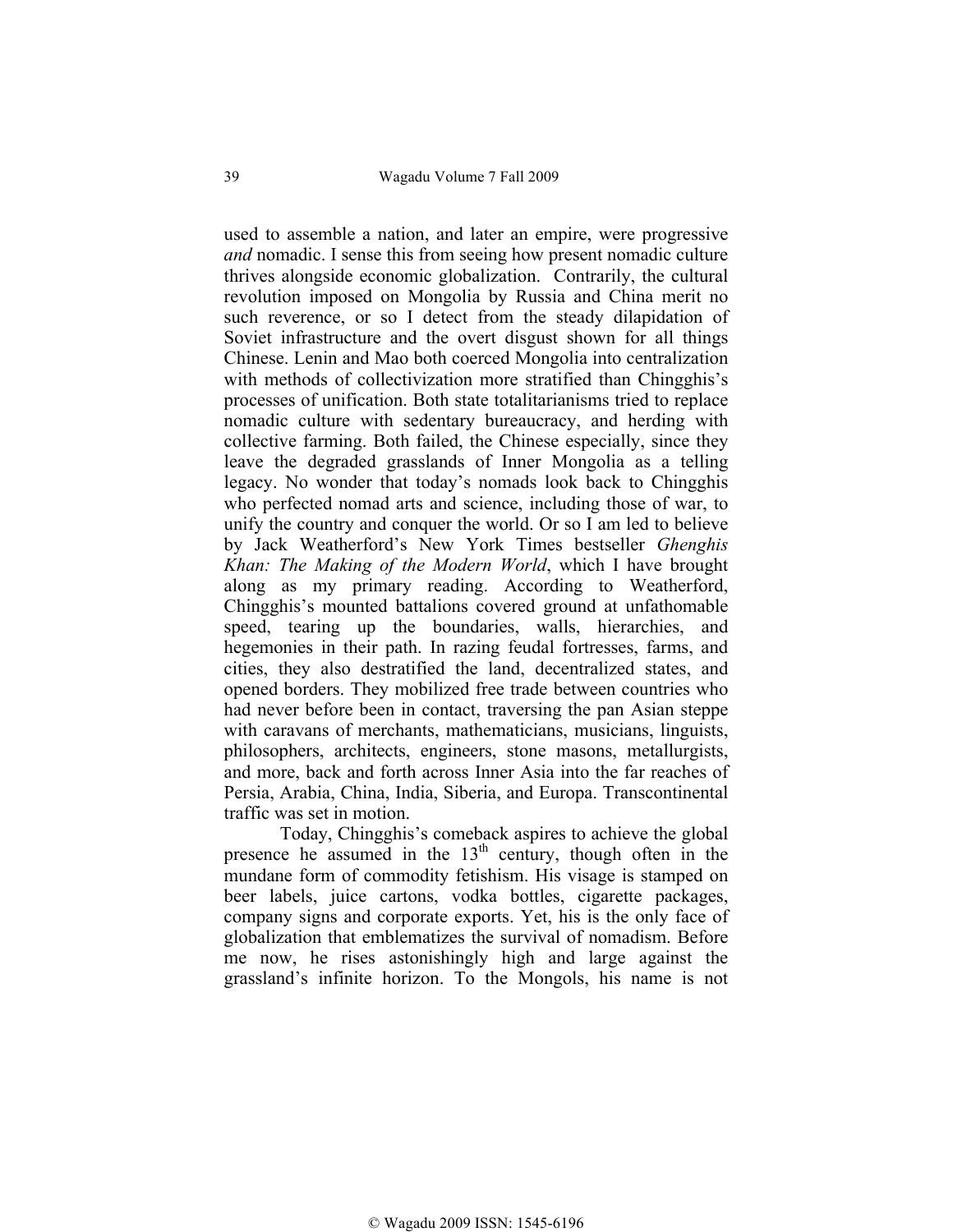used to assemble a nation, and later an empire, were progressive *and* nomadic. I sense this from seeing how present nomadic culture thrives alongside economic globalization. Contrarily, the cultural revolution imposed on Mongolia by Russia and China merit no such reverence, or so I detect from the steady dilapidation of Soviet infrastructure and the overt disgust shown for all things Chinese. Lenin and Mao both coerced Mongolia into centralization with methods of collectivization more stratified than Chingghis's processes of unification. Both state totalitarianisms tried to replace nomadic culture with sedentary bureaucracy, and herding with collective farming. Both failed, the Chinese especially, since they leave the degraded grasslands of Inner Mongolia as a telling legacy. No wonder that today's nomads look back to Chingghis who perfected nomad arts and science, including those of war, to unify the country and conquer the world. Or so I am led to believe by Jack Weatherford's New York Times bestseller *Ghenghis Khan: The Making of the Modern World*, which I have brought along as my primary reading. According to Weatherford, Chingghis's mounted battalions covered ground at unfathomable speed, tearing up the boundaries, walls, hierarchies, and hegemonies in their path. In razing feudal fortresses, farms, and cities, they also destratified the land, decentralized states, and opened borders. They mobilized free trade between countries who had never before been in contact, traversing the pan Asian steppe with caravans of merchants, mathematicians, musicians, linguists, philosophers, architects, engineers, stone masons, metallurgists, and more, back and forth across Inner Asia into the far reaches of Persia, Arabia, China, India, Siberia, and Europa. Transcontinental traffic was set in motion.

Today, Chingghis's comeback aspires to achieve the global presence he assumed in the 13<sup>th</sup> century, though often in the mundane form of commodity fetishism. His visage is stamped on beer labels, juice cartons, vodka bottles, cigarette packages, company signs and corporate exports. Yet, his is the only face of globalization that emblematizes the survival of nomadism. Before me now, he rises astonishingly high and large against the grassland's infinite horizon. To the Mongols, his name is not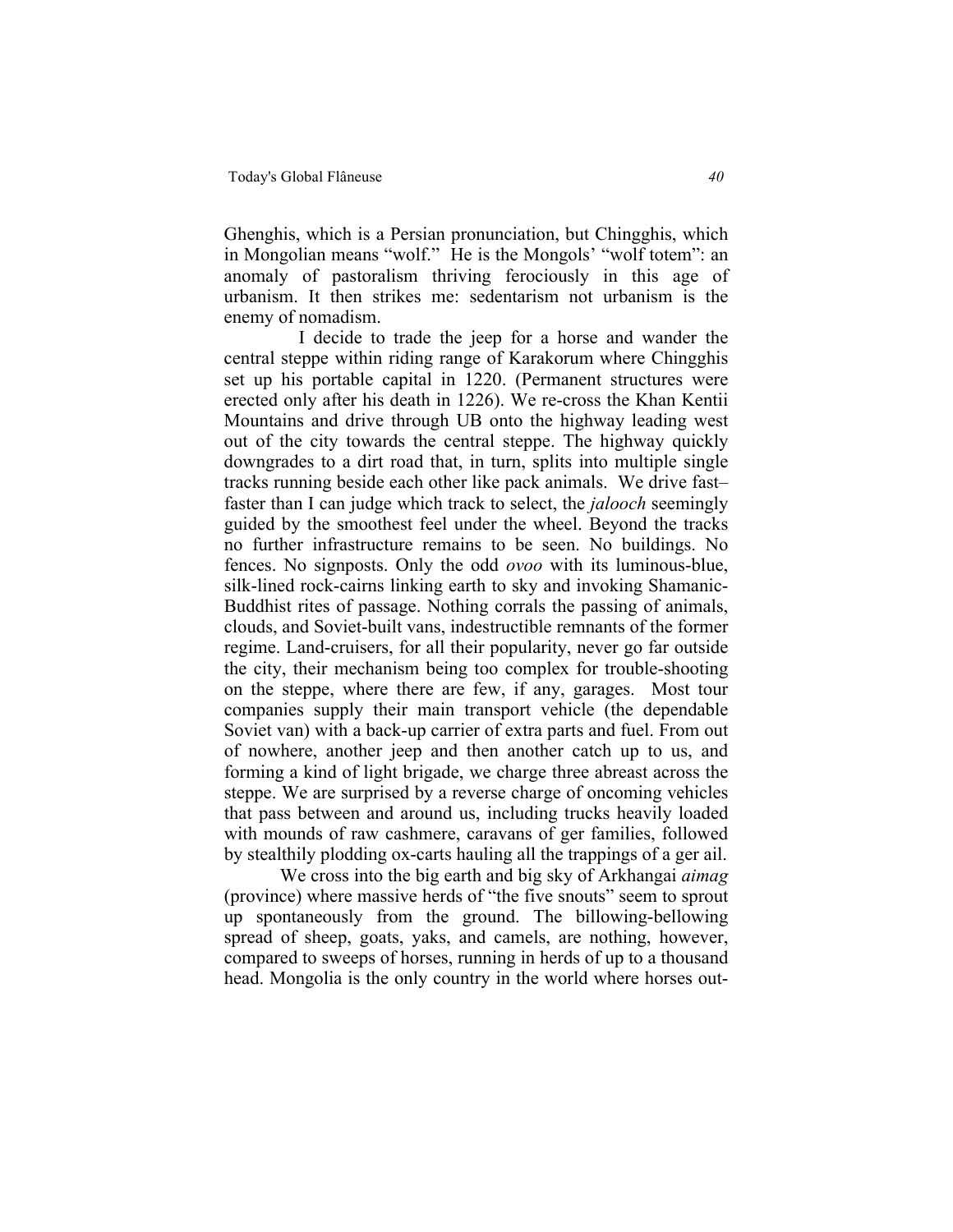Ghenghis, which is a Persian pronunciation, but Chingghis, which in Mongolian means "wolf." He is the Mongols' "wolf totem": an anomaly of pastoralism thriving ferociously in this age of urbanism. It then strikes me: sedentarism not urbanism is the enemy of nomadism.

I decide to trade the jeep for a horse and wander the central steppe within riding range of Karakorum where Chingghis set up his portable capital in 1220. (Permanent structures were erected only after his death in 1226). We re-cross the Khan Kentii Mountains and drive through UB onto the highway leading west out of the city towards the central steppe. The highway quickly downgrades to a dirt road that, in turn, splits into multiple single tracks running beside each other like pack animals. We drive fast– faster than I can judge which track to select, the *jalooch* seemingly guided by the smoothest feel under the wheel. Beyond the tracks no further infrastructure remains to be seen. No buildings. No fences. No signposts. Only the odd *ovoo* with its luminous-blue, silk-lined rock-cairns linking earth to sky and invoking Shamanic-Buddhist rites of passage. Nothing corrals the passing of animals, clouds, and Soviet-built vans, indestructible remnants of the former regime. Land-cruisers, for all their popularity, never go far outside the city, their mechanism being too complex for trouble-shooting on the steppe, where there are few, if any, garages. Most tour companies supply their main transport vehicle (the dependable Soviet van) with a back-up carrier of extra parts and fuel. From out of nowhere, another jeep and then another catch up to us, and forming a kind of light brigade, we charge three abreast across the steppe. We are surprised by a reverse charge of oncoming vehicles that pass between and around us, including trucks heavily loaded with mounds of raw cashmere, caravans of ger families, followed by stealthily plodding ox-carts hauling all the trappings of a ger ail.

We cross into the big earth and big sky of Arkhangai *aimag* (province) where massive herds of "the five snouts" seem to sprout up spontaneously from the ground. The billowing-bellowing spread of sheep, goats, yaks, and camels, are nothing, however, compared to sweeps of horses, running in herds of up to a thousand head. Mongolia is the only country in the world where horses out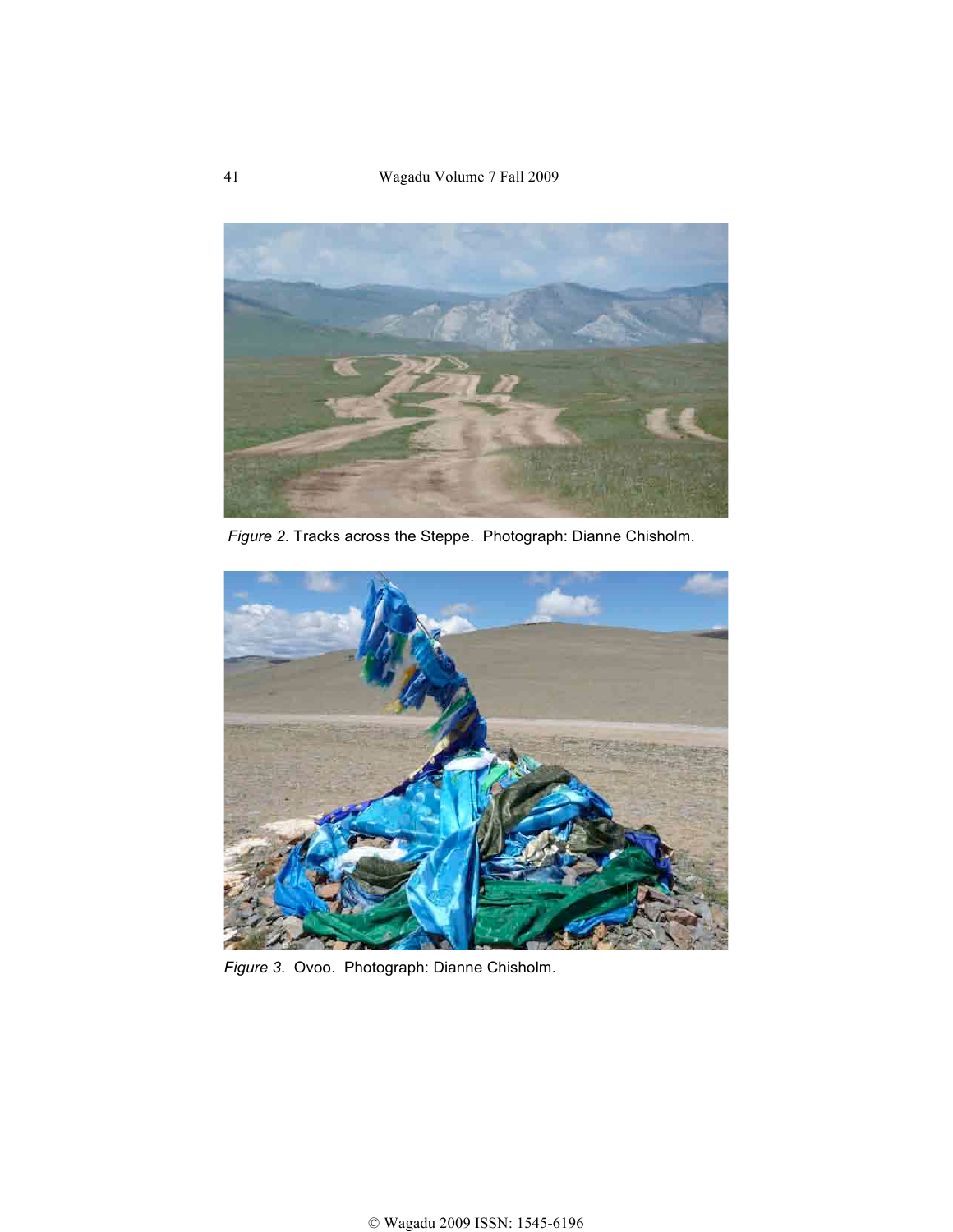41 Wagadu Volume 7 Fall 2009



*Figure 2*. Tracks across the Steppe. Photograph: Dianne Chisholm.



*Figure 3*. Ovoo. Photograph: Dianne Chisholm.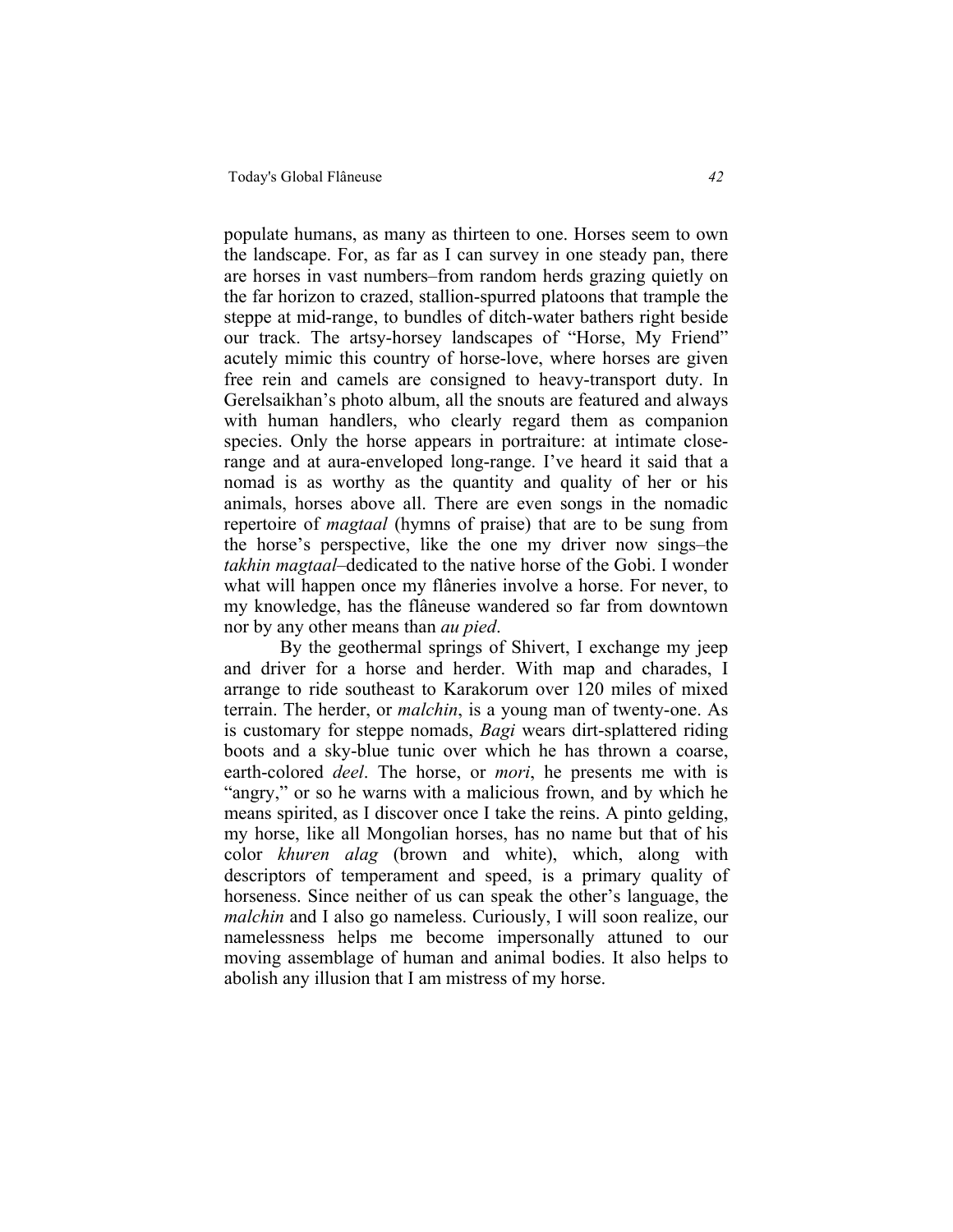populate humans, as many as thirteen to one. Horses seem to own the landscape. For, as far as I can survey in one steady pan, there are horses in vast numbers–from random herds grazing quietly on the far horizon to crazed, stallion-spurred platoons that trample the steppe at mid-range, to bundles of ditch-water bathers right beside our track. The artsy-horsey landscapes of "Horse, My Friend" acutely mimic this country of horse-love, where horses are given free rein and camels are consigned to heavy-transport duty. In Gerelsaikhan's photo album, all the snouts are featured and always with human handlers, who clearly regard them as companion species. Only the horse appears in portraiture: at intimate closerange and at aura-enveloped long-range. I've heard it said that a nomad is as worthy as the quantity and quality of her or his animals, horses above all. There are even songs in the nomadic repertoire of *magtaal* (hymns of praise) that are to be sung from the horse's perspective, like the one my driver now sings–the *takhin magtaal*–dedicated to the native horse of the Gobi. I wonder what will happen once my flâneries involve a horse. For never, to my knowledge, has the flâneuse wandered so far from downtown nor by any other means than *au pied*.

By the geothermal springs of Shivert, I exchange my jeep and driver for a horse and herder. With map and charades, I arrange to ride southeast to Karakorum over 120 miles of mixed terrain. The herder, or *malchin*, is a young man of twenty-one. As is customary for steppe nomads, *Bagi* wears dirt-splattered riding boots and a sky-blue tunic over which he has thrown a coarse, earth-colored *deel*. The horse, or *mori*, he presents me with is "angry," or so he warns with a malicious frown, and by which he means spirited, as I discover once I take the reins. A pinto gelding, my horse, like all Mongolian horses, has no name but that of his color *khuren alag* (brown and white), which, along with descriptors of temperament and speed, is a primary quality of horseness. Since neither of us can speak the other's language, the *malchin* and I also go nameless. Curiously, I will soon realize, our namelessness helps me become impersonally attuned to our moving assemblage of human and animal bodies. It also helps to abolish any illusion that I am mistress of my horse.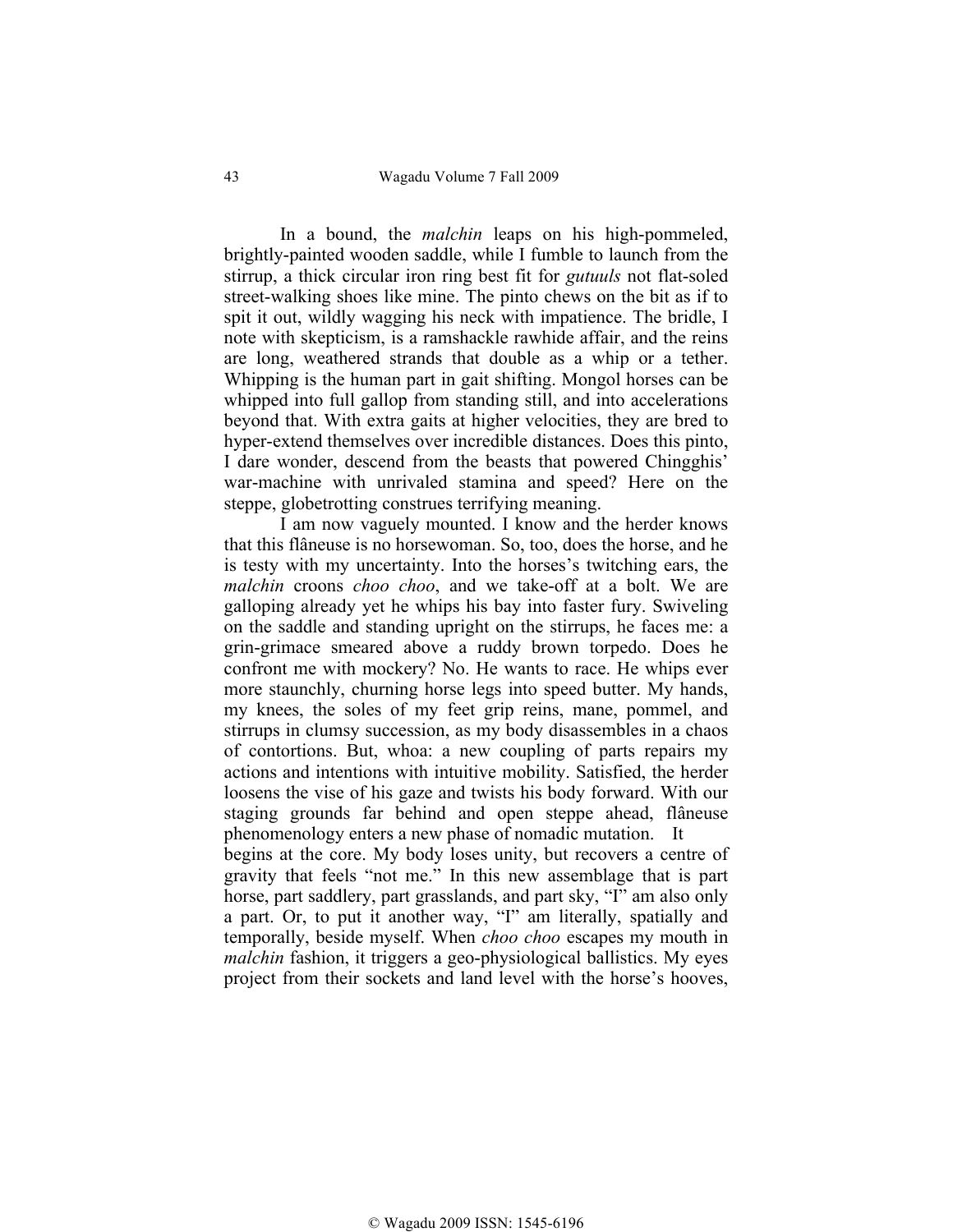In a bound, the *malchin* leaps on his high-pommeled, brightly-painted wooden saddle, while I fumble to launch from the stirrup, a thick circular iron ring best fit for *gutuuls* not flat-soled street-walking shoes like mine. The pinto chews on the bit as if to spit it out, wildly wagging his neck with impatience. The bridle, I note with skepticism, is a ramshackle rawhide affair, and the reins are long, weathered strands that double as a whip or a tether. Whipping is the human part in gait shifting. Mongol horses can be whipped into full gallop from standing still, and into accelerations beyond that. With extra gaits at higher velocities, they are bred to hyper-extend themselves over incredible distances. Does this pinto, I dare wonder, descend from the beasts that powered Chingghis' war-machine with unrivaled stamina and speed? Here on the steppe, globetrotting construes terrifying meaning.

I am now vaguely mounted. I know and the herder knows that this flâneuse is no horsewoman. So, too, does the horse, and he is testy with my uncertainty. Into the horses's twitching ears, the *malchin* croons *choo choo*, and we take-off at a bolt. We are galloping already yet he whips his bay into faster fury. Swiveling on the saddle and standing upright on the stirrups, he faces me: a grin-grimace smeared above a ruddy brown torpedo. Does he confront me with mockery? No. He wants to race. He whips ever more staunchly, churning horse legs into speed butter. My hands, my knees, the soles of my feet grip reins, mane, pommel, and stirrups in clumsy succession, as my body disassembles in a chaos of contortions. But, whoa: a new coupling of parts repairs my actions and intentions with intuitive mobility. Satisfied, the herder loosens the vise of his gaze and twists his body forward. With our staging grounds far behind and open steppe ahead, flâneuse phenomenology enters a new phase of nomadic mutation. It begins at the core. My body loses unity, but recovers a centre of gravity that feels "not me." In this new assemblage that is part horse, part saddlery, part grasslands, and part sky, "I" am also only a part. Or, to put it another way, "I" am literally, spatially and temporally, beside myself. When *choo choo* escapes my mouth in *malchin* fashion, it triggers a geo-physiological ballistics. My eyes project from their sockets and land level with the horse's hooves,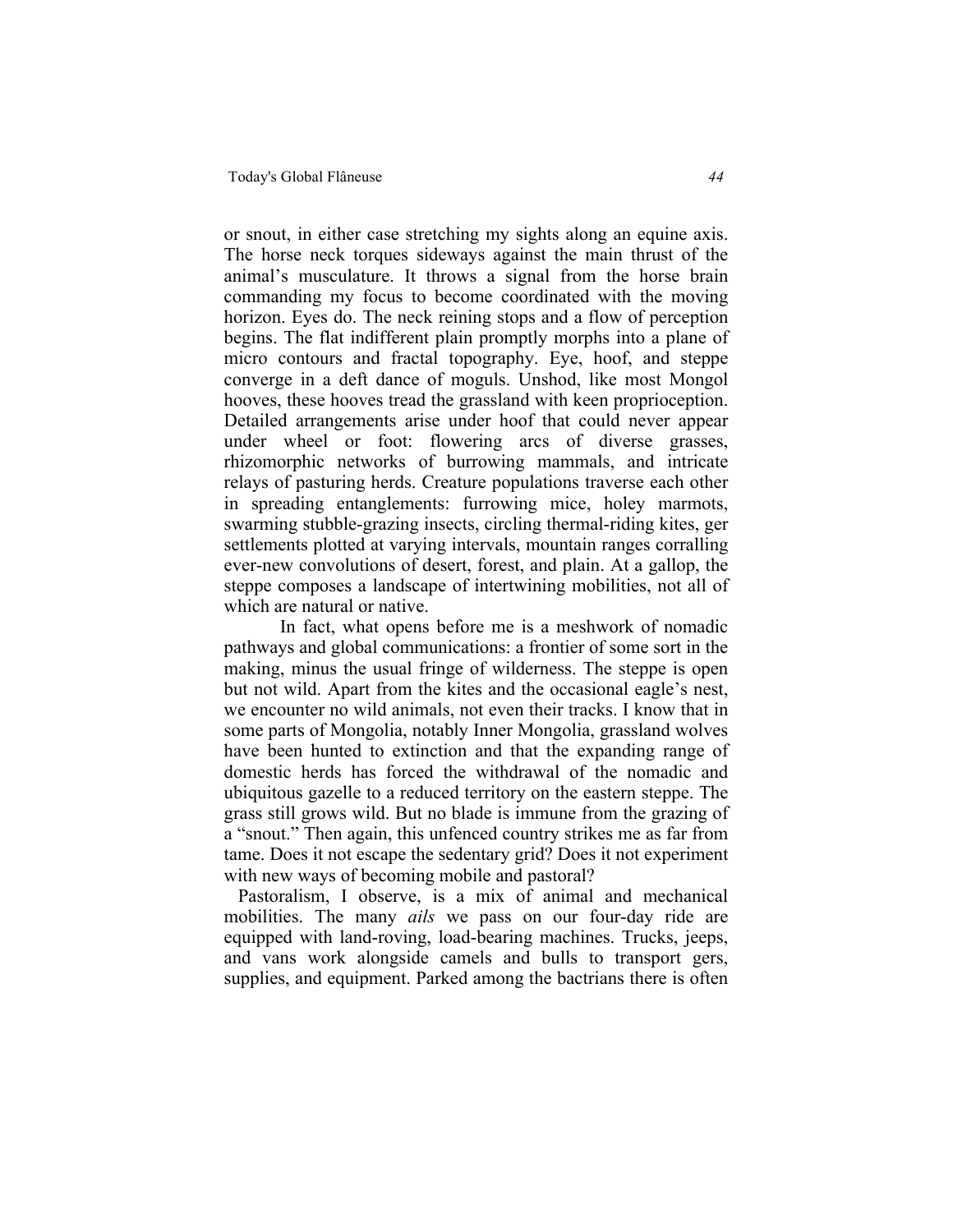or snout, in either case stretching my sights along an equine axis. The horse neck torques sideways against the main thrust of the animal's musculature. It throws a signal from the horse brain commanding my focus to become coordinated with the moving horizon. Eyes do. The neck reining stops and a flow of perception begins. The flat indifferent plain promptly morphs into a plane of micro contours and fractal topography. Eye, hoof, and steppe converge in a deft dance of moguls. Unshod, like most Mongol hooves, these hooves tread the grassland with keen proprioception. Detailed arrangements arise under hoof that could never appear under wheel or foot: flowering arcs of diverse grasses, rhizomorphic networks of burrowing mammals, and intricate relays of pasturing herds. Creature populations traverse each other in spreading entanglements: furrowing mice, holey marmots, swarming stubble-grazing insects, circling thermal-riding kites, ger settlements plotted at varying intervals, mountain ranges corralling ever-new convolutions of desert, forest, and plain. At a gallop, the steppe composes a landscape of intertwining mobilities, not all of which are natural or native.

In fact, what opens before me is a meshwork of nomadic pathways and global communications: a frontier of some sort in the making, minus the usual fringe of wilderness. The steppe is open but not wild. Apart from the kites and the occasional eagle's nest, we encounter no wild animals, not even their tracks. I know that in some parts of Mongolia, notably Inner Mongolia, grassland wolves have been hunted to extinction and that the expanding range of domestic herds has forced the withdrawal of the nomadic and ubiquitous gazelle to a reduced territory on the eastern steppe. The grass still grows wild. But no blade is immune from the grazing of a "snout." Then again, this unfenced country strikes me as far from tame. Does it not escape the sedentary grid? Does it not experiment with new ways of becoming mobile and pastoral?

 Pastoralism, I observe, is a mix of animal and mechanical mobilities. The many *ails* we pass on our four-day ride are equipped with land-roving, load-bearing machines. Trucks, jeeps, and vans work alongside camels and bulls to transport gers, supplies, and equipment. Parked among the bactrians there is often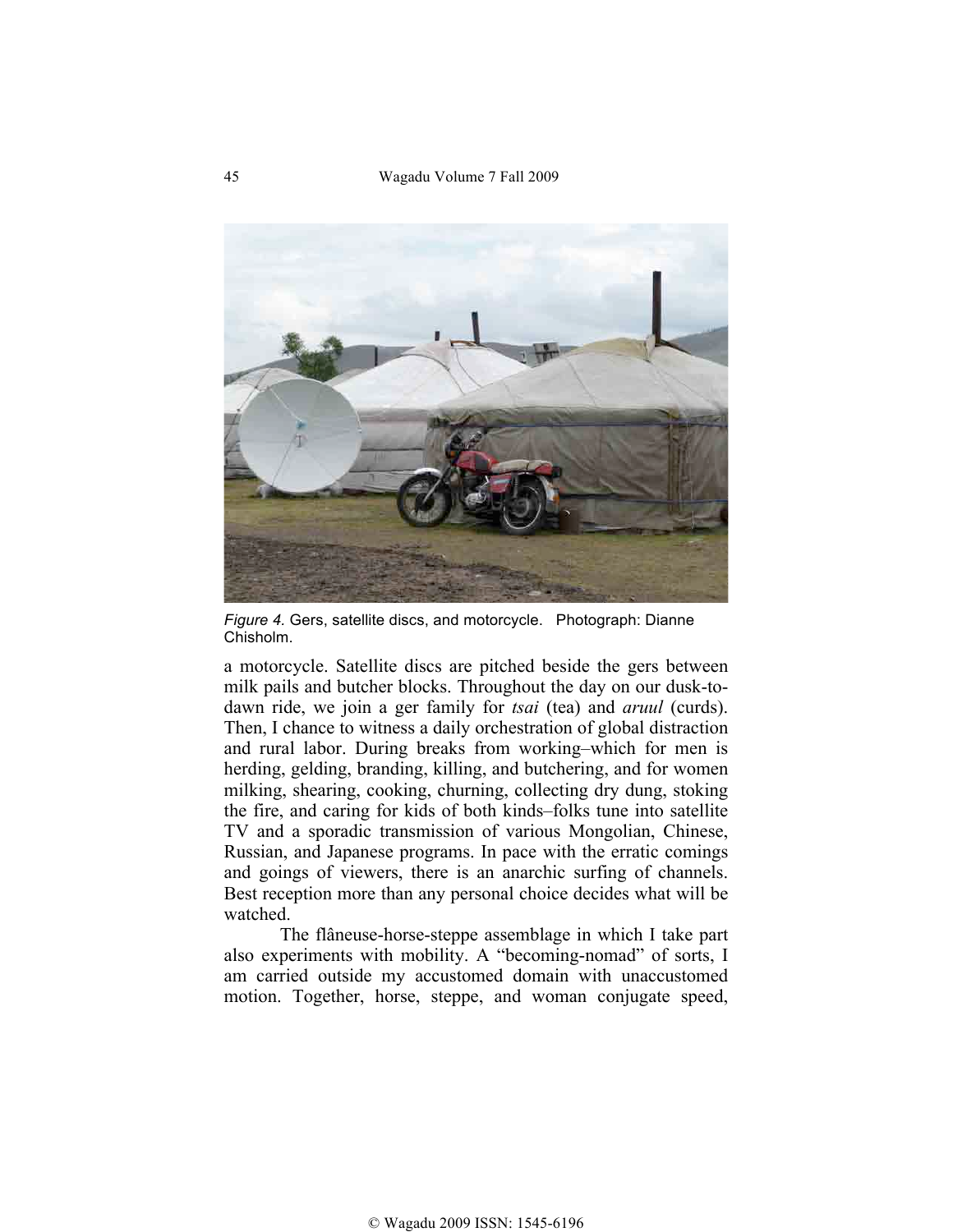45 Wagadu Volume 7 Fall 2009



*Figure 4.* Gers, satellite discs, and motorcycle. Photograph: Dianne Chisholm.

a motorcycle. Satellite discs are pitched beside the gers between milk pails and butcher blocks. Throughout the day on our dusk-todawn ride, we join a ger family for *tsai* (tea) and *aruul* (curds). Then, I chance to witness a daily orchestration of global distraction and rural labor. During breaks from working–which for men is herding, gelding, branding, killing, and butchering, and for women milking, shearing, cooking, churning, collecting dry dung, stoking the fire, and caring for kids of both kinds–folks tune into satellite TV and a sporadic transmission of various Mongolian, Chinese, Russian, and Japanese programs. In pace with the erratic comings and goings of viewers, there is an anarchic surfing of channels. Best reception more than any personal choice decides what will be watched.

The flâneuse-horse-steppe assemblage in which I take part also experiments with mobility. A "becoming-nomad" of sorts, I am carried outside my accustomed domain with unaccustomed motion. Together, horse, steppe, and woman conjugate speed,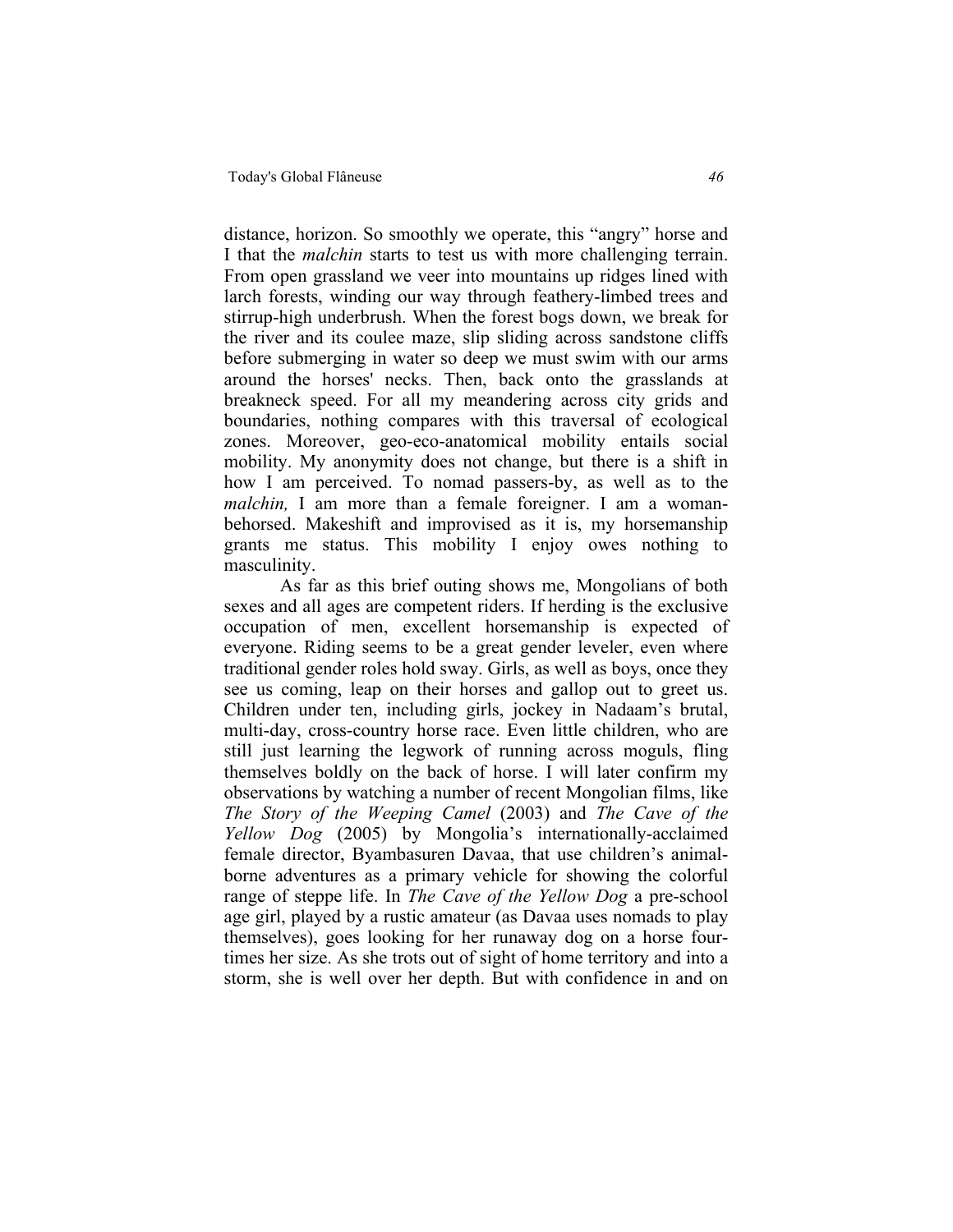distance, horizon. So smoothly we operate, this "angry" horse and I that the *malchin* starts to test us with more challenging terrain. From open grassland we veer into mountains up ridges lined with larch forests, winding our way through feathery-limbed trees and stirrup-high underbrush. When the forest bogs down, we break for the river and its coulee maze, slip sliding across sandstone cliffs before submerging in water so deep we must swim with our arms around the horses' necks. Then, back onto the grasslands at breakneck speed. For all my meandering across city grids and boundaries, nothing compares with this traversal of ecological zones. Moreover, geo-eco-anatomical mobility entails social mobility. My anonymity does not change, but there is a shift in how I am perceived. To nomad passers-by, as well as to the *malchin,* I am more than a female foreigner. I am a womanbehorsed. Makeshift and improvised as it is, my horsemanship grants me status. This mobility I enjoy owes nothing to masculinity.

As far as this brief outing shows me, Mongolians of both sexes and all ages are competent riders. If herding is the exclusive occupation of men, excellent horsemanship is expected of everyone. Riding seems to be a great gender leveler, even where traditional gender roles hold sway. Girls, as well as boys, once they see us coming, leap on their horses and gallop out to greet us. Children under ten, including girls, jockey in Nadaam's brutal, multi-day, cross-country horse race. Even little children, who are still just learning the legwork of running across moguls, fling themselves boldly on the back of horse. I will later confirm my observations by watching a number of recent Mongolian films, like *The Story of the Weeping Camel* (2003) and *The Cave of the Yellow Dog* (2005) by Mongolia's internationally-acclaimed female director, Byambasuren Davaa, that use children's animalborne adventures as a primary vehicle for showing the colorful range of steppe life. In *The Cave of the Yellow Dog* a pre-school age girl, played by a rustic amateur (as Davaa uses nomads to play themselves), goes looking for her runaway dog on a horse fourtimes her size. As she trots out of sight of home territory and into a storm, she is well over her depth. But with confidence in and on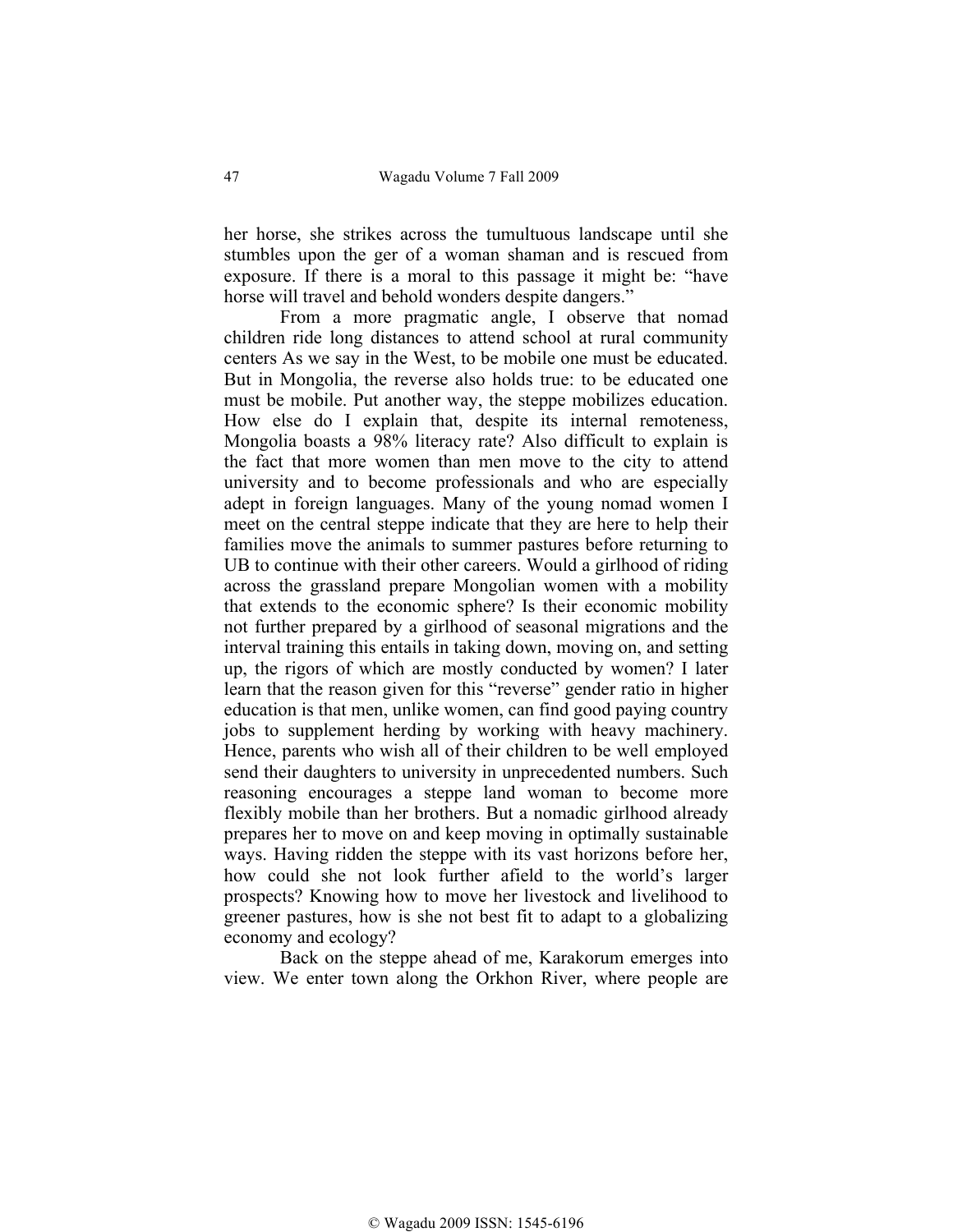her horse, she strikes across the tumultuous landscape until she stumbles upon the ger of a woman shaman and is rescued from exposure. If there is a moral to this passage it might be: "have horse will travel and behold wonders despite dangers."

From a more pragmatic angle, I observe that nomad children ride long distances to attend school at rural community centers As we say in the West, to be mobile one must be educated. But in Mongolia, the reverse also holds true: to be educated one must be mobile. Put another way, the steppe mobilizes education. How else do I explain that, despite its internal remoteness, Mongolia boasts a 98% literacy rate? Also difficult to explain is the fact that more women than men move to the city to attend university and to become professionals and who are especially adept in foreign languages. Many of the young nomad women I meet on the central steppe indicate that they are here to help their families move the animals to summer pastures before returning to UB to continue with their other careers. Would a girlhood of riding across the grassland prepare Mongolian women with a mobility that extends to the economic sphere? Is their economic mobility not further prepared by a girlhood of seasonal migrations and the interval training this entails in taking down, moving on, and setting up, the rigors of which are mostly conducted by women? I later learn that the reason given for this "reverse" gender ratio in higher education is that men, unlike women, can find good paying country jobs to supplement herding by working with heavy machinery. Hence, parents who wish all of their children to be well employed send their daughters to university in unprecedented numbers. Such reasoning encourages a steppe land woman to become more flexibly mobile than her brothers. But a nomadic girlhood already prepares her to move on and keep moving in optimally sustainable ways. Having ridden the steppe with its vast horizons before her, how could she not look further afield to the world's larger prospects? Knowing how to move her livestock and livelihood to greener pastures, how is she not best fit to adapt to a globalizing economy and ecology?

Back on the steppe ahead of me, Karakorum emerges into view. We enter town along the Orkhon River, where people are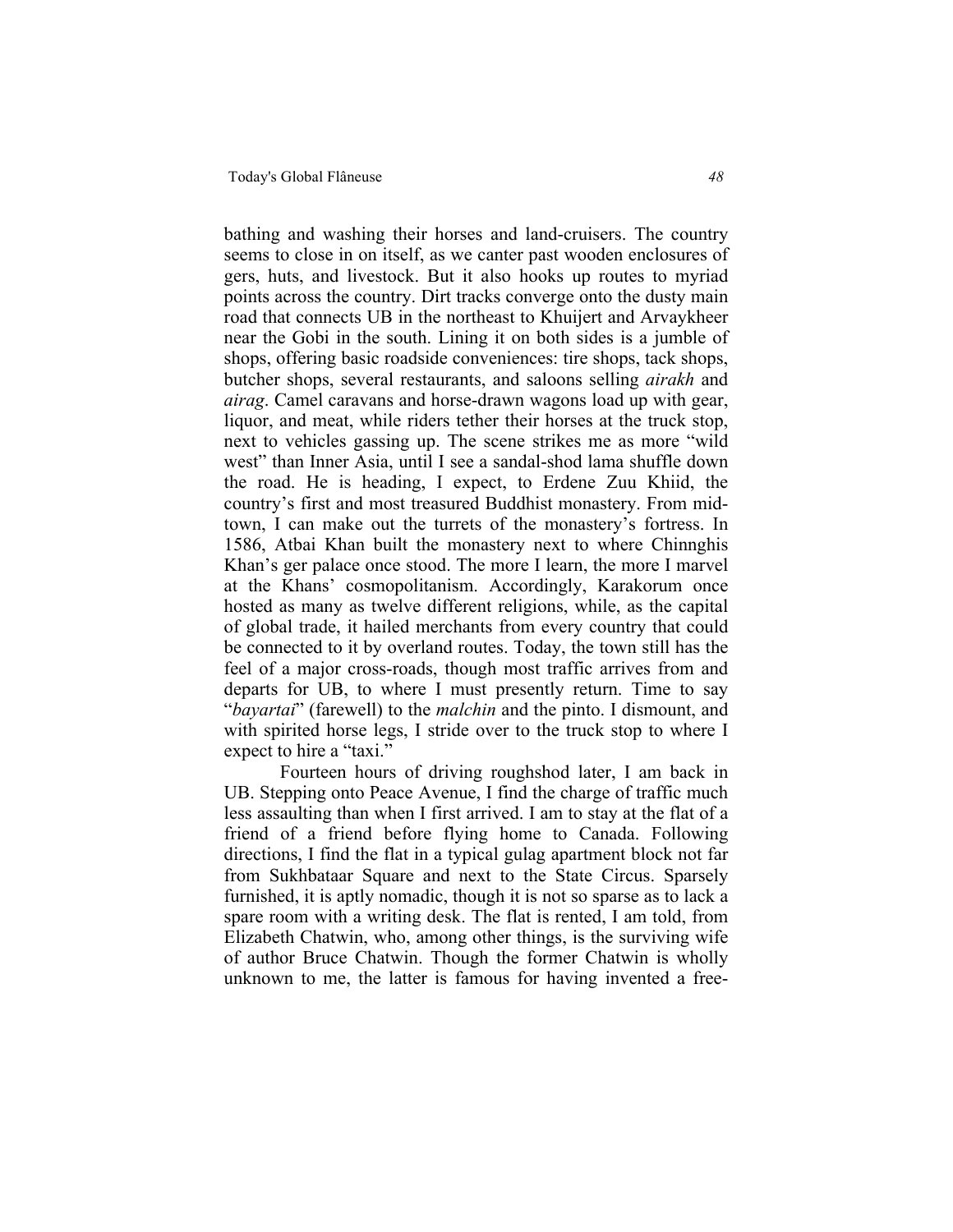bathing and washing their horses and land-cruisers. The country seems to close in on itself, as we canter past wooden enclosures of gers, huts, and livestock. But it also hooks up routes to myriad points across the country. Dirt tracks converge onto the dusty main road that connects UB in the northeast to Khuijert and Arvaykheer near the Gobi in the south. Lining it on both sides is a jumble of shops, offering basic roadside conveniences: tire shops, tack shops, butcher shops, several restaurants, and saloons selling *airakh* and *airag*. Camel caravans and horse-drawn wagons load up with gear, liquor, and meat, while riders tether their horses at the truck stop, next to vehicles gassing up. The scene strikes me as more "wild west" than Inner Asia, until I see a sandal-shod lama shuffle down the road. He is heading, I expect, to Erdene Zuu Khiid, the country's first and most treasured Buddhist monastery. From midtown, I can make out the turrets of the monastery's fortress. In 1586, Atbai Khan built the monastery next to where Chinnghis Khan's ger palace once stood. The more I learn, the more I marvel at the Khans' cosmopolitanism. Accordingly, Karakorum once hosted as many as twelve different religions, while, as the capital of global trade, it hailed merchants from every country that could be connected to it by overland routes. Today, the town still has the feel of a major cross-roads, though most traffic arrives from and departs for UB, to where I must presently return. Time to say "*bayartai*" (farewell) to the *malchin* and the pinto. I dismount, and with spirited horse legs, I stride over to the truck stop to where I expect to hire a "taxi."

Fourteen hours of driving roughshod later, I am back in UB. Stepping onto Peace Avenue, I find the charge of traffic much less assaulting than when I first arrived. I am to stay at the flat of a friend of a friend before flying home to Canada. Following directions, I find the flat in a typical gulag apartment block not far from Sukhbataar Square and next to the State Circus. Sparsely furnished, it is aptly nomadic, though it is not so sparse as to lack a spare room with a writing desk. The flat is rented, I am told, from Elizabeth Chatwin, who, among other things, is the surviving wife of author Bruce Chatwin. Though the former Chatwin is wholly unknown to me, the latter is famous for having invented a free-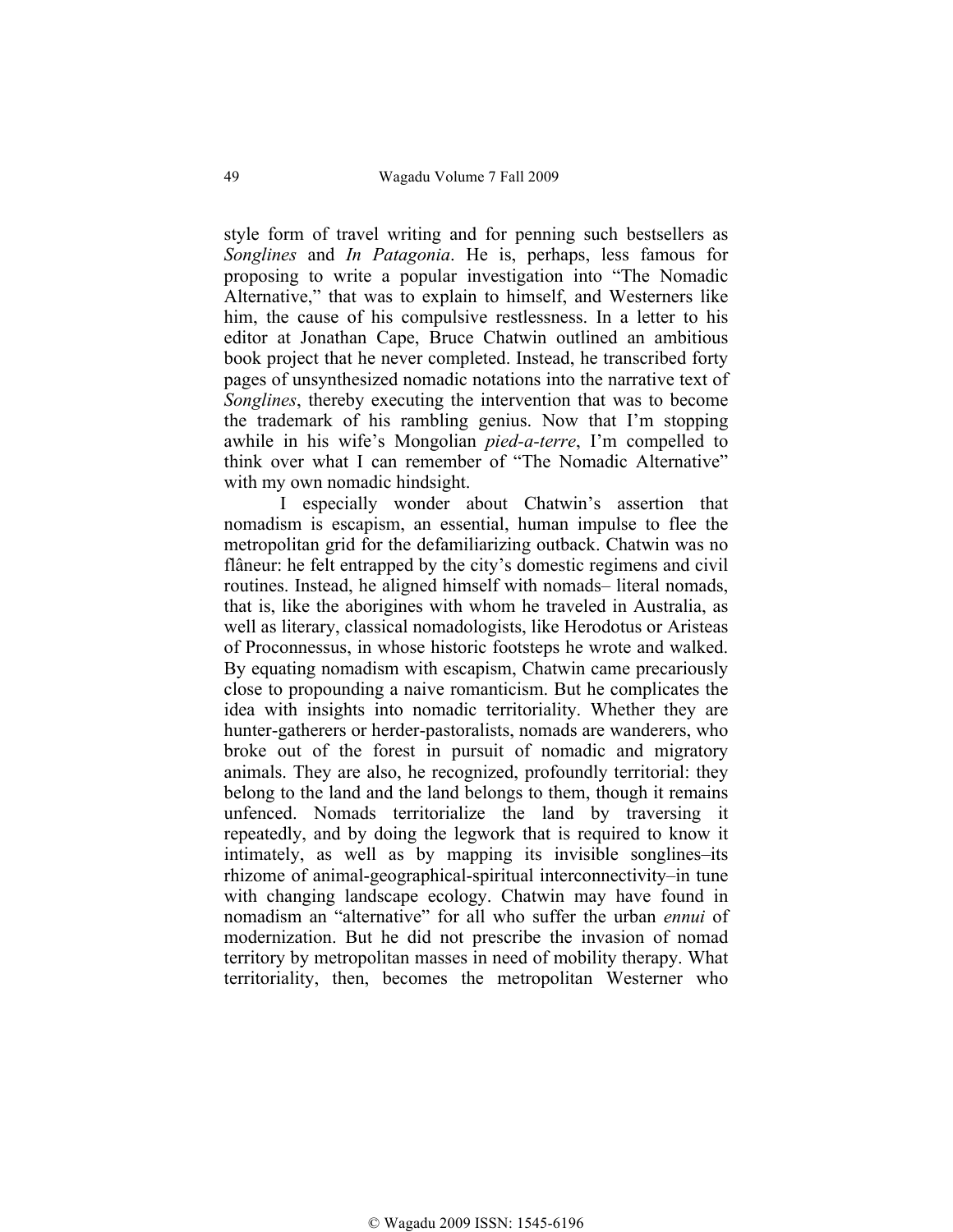style form of travel writing and for penning such bestsellers as *Songlines* and *In Patagonia*. He is, perhaps, less famous for proposing to write a popular investigation into "The Nomadic Alternative," that was to explain to himself, and Westerners like him, the cause of his compulsive restlessness. In a letter to his editor at Jonathan Cape, Bruce Chatwin outlined an ambitious book project that he never completed. Instead, he transcribed forty pages of unsynthesized nomadic notations into the narrative text of *Songlines*, thereby executing the intervention that was to become the trademark of his rambling genius. Now that I'm stopping awhile in his wife's Mongolian *pied-a-terre*, I'm compelled to think over what I can remember of "The Nomadic Alternative" with my own nomadic hindsight.

I especially wonder about Chatwin's assertion that nomadism is escapism, an essential, human impulse to flee the metropolitan grid for the defamiliarizing outback. Chatwin was no flâneur: he felt entrapped by the city's domestic regimens and civil routines. Instead, he aligned himself with nomads– literal nomads, that is, like the aborigines with whom he traveled in Australia, as well as literary, classical nomadologists, like Herodotus or Aristeas of Proconnessus, in whose historic footsteps he wrote and walked. By equating nomadism with escapism, Chatwin came precariously close to propounding a naive romanticism. But he complicates the idea with insights into nomadic territoriality. Whether they are hunter-gatherers or herder-pastoralists, nomads are wanderers, who broke out of the forest in pursuit of nomadic and migratory animals. They are also, he recognized, profoundly territorial: they belong to the land and the land belongs to them, though it remains unfenced. Nomads territorialize the land by traversing it repeatedly, and by doing the legwork that is required to know it intimately, as well as by mapping its invisible songlines–its rhizome of animal-geographical-spiritual interconnectivity–in tune with changing landscape ecology. Chatwin may have found in nomadism an "alternative" for all who suffer the urban *ennui* of modernization. But he did not prescribe the invasion of nomad territory by metropolitan masses in need of mobility therapy. What territoriality, then, becomes the metropolitan Westerner who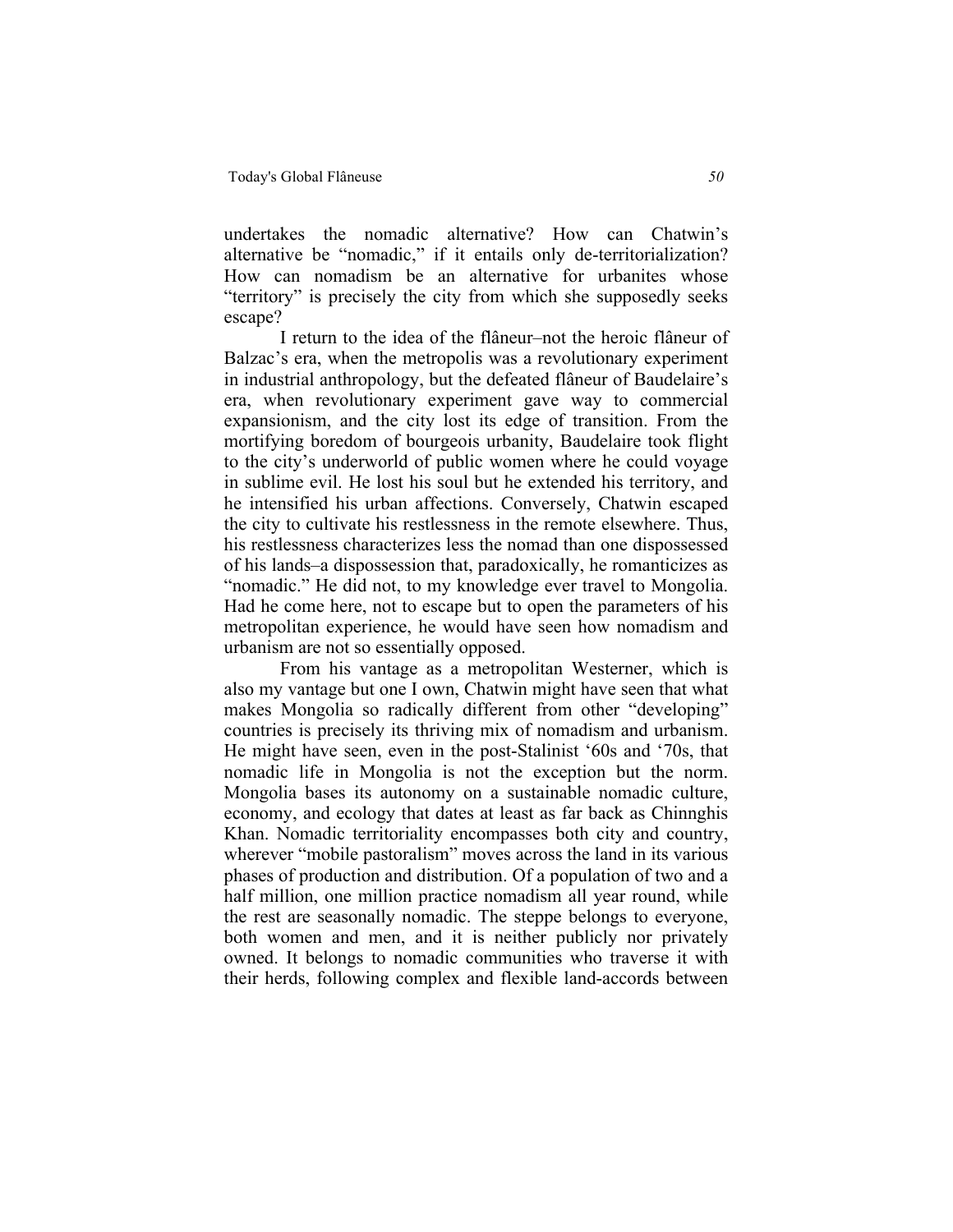undertakes the nomadic alternative? How can Chatwin's alternative be "nomadic," if it entails only de-territorialization? How can nomadism be an alternative for urbanites whose "territory" is precisely the city from which she supposedly seeks escape?

I return to the idea of the flâneur–not the heroic flâneur of Balzac's era, when the metropolis was a revolutionary experiment in industrial anthropology, but the defeated flâneur of Baudelaire's era, when revolutionary experiment gave way to commercial expansionism, and the city lost its edge of transition. From the mortifying boredom of bourgeois urbanity, Baudelaire took flight to the city's underworld of public women where he could voyage in sublime evil. He lost his soul but he extended his territory, and he intensified his urban affections. Conversely, Chatwin escaped the city to cultivate his restlessness in the remote elsewhere. Thus, his restlessness characterizes less the nomad than one dispossessed of his lands–a dispossession that, paradoxically, he romanticizes as "nomadic." He did not, to my knowledge ever travel to Mongolia. Had he come here, not to escape but to open the parameters of his metropolitan experience, he would have seen how nomadism and urbanism are not so essentially opposed.

From his vantage as a metropolitan Westerner, which is also my vantage but one I own, Chatwin might have seen that what makes Mongolia so radically different from other "developing" countries is precisely its thriving mix of nomadism and urbanism. He might have seen, even in the post-Stalinist '60s and '70s, that nomadic life in Mongolia is not the exception but the norm. Mongolia bases its autonomy on a sustainable nomadic culture, economy, and ecology that dates at least as far back as Chinnghis Khan. Nomadic territoriality encompasses both city and country, wherever "mobile pastoralism" moves across the land in its various phases of production and distribution. Of a population of two and a half million, one million practice nomadism all year round, while the rest are seasonally nomadic. The steppe belongs to everyone, both women and men, and it is neither publicly nor privately owned. It belongs to nomadic communities who traverse it with their herds, following complex and flexible land-accords between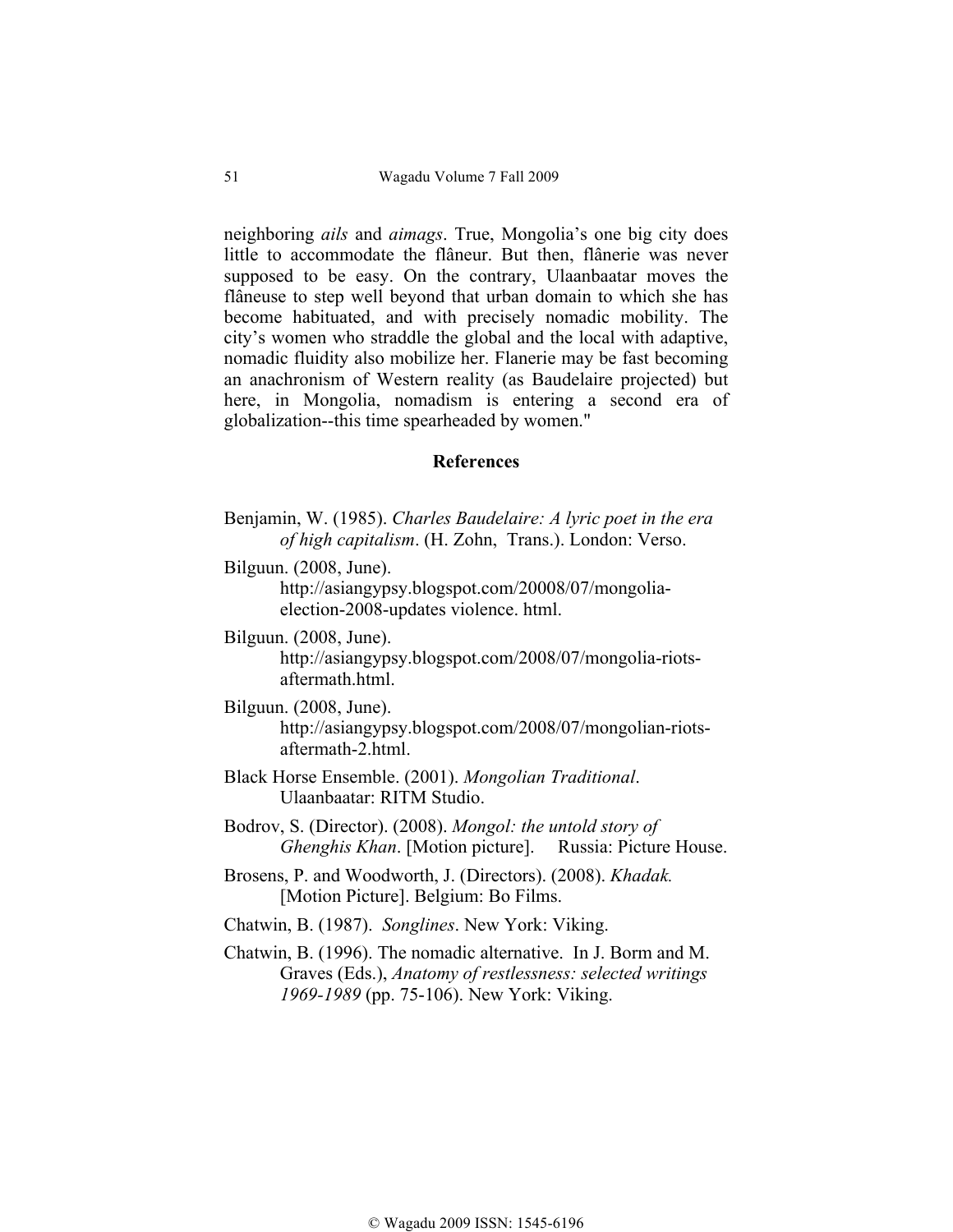neighboring *ails* and *aimags*. True, Mongolia's one big city does little to accommodate the flâneur. But then, flânerie was never supposed to be easy. On the contrary, Ulaanbaatar moves the flâneuse to step well beyond that urban domain to which she has become habituated, and with precisely nomadic mobility. The city's women who straddle the global and the local with adaptive, nomadic fluidity also mobilize her. Flanerie may be fast becoming an anachronism of Western reality (as Baudelaire projected) but here, in Mongolia, nomadism is entering a second era of globalization--this time spearheaded by women."

## **References**

- Benjamin, W. (1985). *Charles Baudelaire: A lyric poet in the era of high capitalism*. (H. Zohn, Trans.). London: Verso.
- Bilguun. (2008, June). http://asiangypsy.blogspot.com/20008/07/mongoliaelection-2008-updates violence. html.
- Bilguun. (2008, June). http://asiangypsy.blogspot.com/2008/07/mongolia-riotsaftermath.html.
- Bilguun. (2008, June). http://asiangypsy.blogspot.com/2008/07/mongolian-riotsaftermath-2.html.
- Black Horse Ensemble. (2001). *Mongolian Traditional*. Ulaanbaatar: RITM Studio.
- Bodrov, S. (Director). (2008). *Mongol: the untold story of Ghenghis Khan*. [Motion picture]. Russia: Picture House.
- Brosens, P. and Woodworth, J. (Directors). (2008). *Khadak.*  [Motion Picture]. Belgium: Bo Films.
- Chatwin, B. (1987). *Songlines*. New York: Viking.
- Chatwin, B. (1996). The nomadic alternative. In J. Borm and M. Graves (Eds.), *Anatomy of restlessness: selected writings 1969-1989* (pp. 75-106). New York: Viking.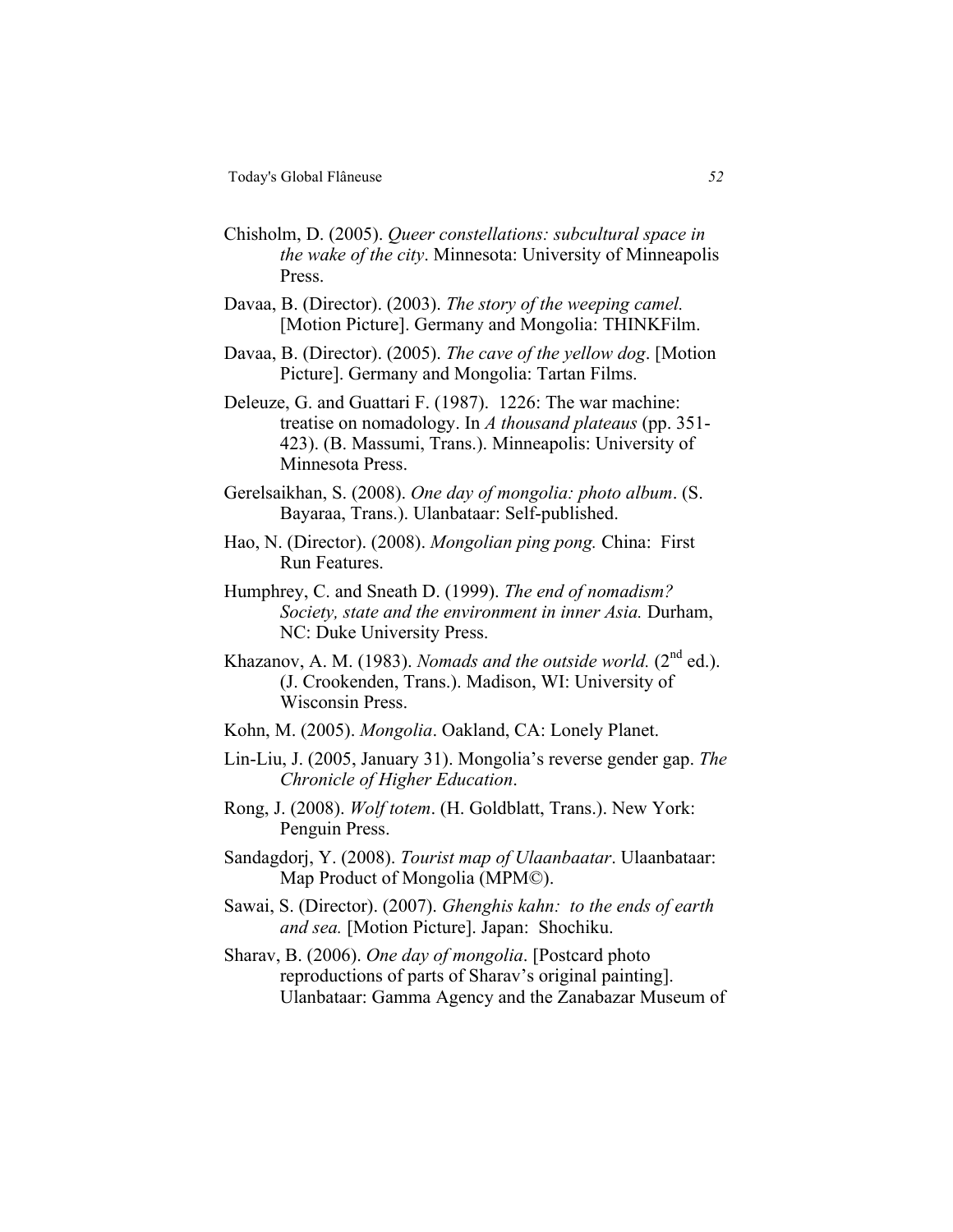- Chisholm, D. (2005). *Queer constellations: subcultural space in the wake of the city*. Minnesota: University of Minneapolis Press.
- Davaa, B. (Director). (2003). *The story of the weeping camel.*  [Motion Picture]. Germany and Mongolia: THINKFilm.
- Davaa, B. (Director). (2005). *The cave of the yellow dog*. [Motion Picture]. Germany and Mongolia: Tartan Films.
- Deleuze, G. and Guattari F. (1987). 1226: The war machine: treatise on nomadology. In *A thousand plateaus* (pp. 351- 423). (B. Massumi, Trans.). Minneapolis: University of Minnesota Press.
- Gerelsaikhan, S. (2008). *One day of mongolia: photo album*. (S. Bayaraa, Trans.). Ulanbataar: Self-published.
- Hao, N. (Director). (2008). *Mongolian ping pong.* China: First Run Features.
- Humphrey, C. and Sneath D. (1999). *The end of nomadism? Society, state and the environment in inner Asia.* Durham, NC: Duke University Press.
- Khazanov, A. M. (1983). *Nomads and the outside world.* (2<sup>nd</sup> ed.). (J. Crookenden, Trans.). Madison, WI: University of Wisconsin Press.
- Kohn, M. (2005). *Mongolia*. Oakland, CA: Lonely Planet.
- Lin-Liu, J. (2005, January 31). Mongolia's reverse gender gap. *The Chronicle of Higher Education*.
- Rong, J. (2008). *Wolf totem*. (H. Goldblatt, Trans.). New York: Penguin Press.
- Sandagdorj, Y. (2008). *Tourist map of Ulaanbaatar*. Ulaanbataar: Map Product of Mongolia (MPM©).
- Sawai, S. (Director). (2007). *Ghenghis kahn: to the ends of earth and sea.* [Motion Picture]. Japan: Shochiku.
- Sharav, B. (2006). *One day of mongolia*. [Postcard photo reproductions of parts of Sharav's original painting]. Ulanbataar: Gamma Agency and the Zanabazar Museum of